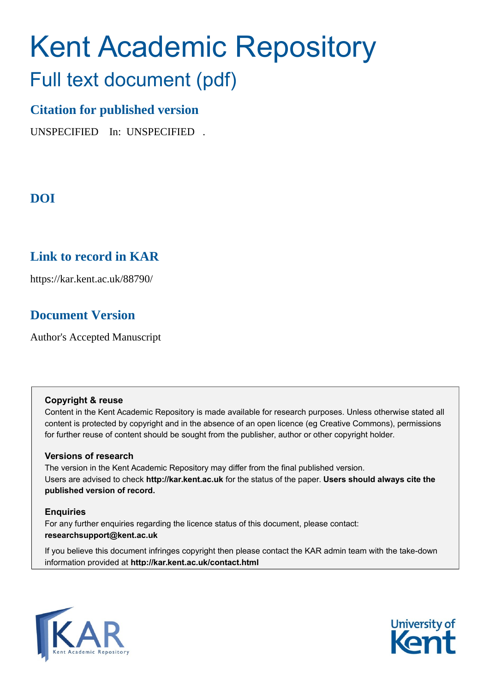# Kent Academic Repository

## Full text document (pdf)

## **Citation for published version**

UNSPECIFIED In: UNSPECIFIED .

## **DOI**

## **Link to record in KAR**

https://kar.kent.ac.uk/88790/

## **Document Version**

Author's Accepted Manuscript

## **Copyright & reuse**

Content in the Kent Academic Repository is made available for research purposes. Unless otherwise stated all content is protected by copyright and in the absence of an open licence (eg Creative Commons), permissions for further reuse of content should be sought from the publisher, author or other copyright holder.

## **Versions of research**

The version in the Kent Academic Repository may differ from the final published version. Users are advised to check **http://kar.kent.ac.uk** for the status of the paper. **Users should always cite the published version of record.**

## **Enquiries**

For any further enquiries regarding the licence status of this document, please contact: **researchsupport@kent.ac.uk**

If you believe this document infringes copyright then please contact the KAR admin team with the take-down information provided at **http://kar.kent.ac.uk/contact.html**



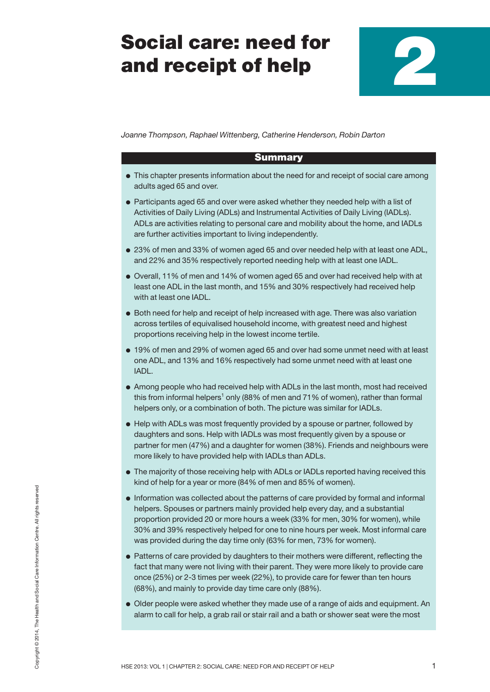# **Social care: need for and receipt of help**

**2**

*Joanne Thompson, Raphael Wittenberg, Catherine Henderson, Robin Darton*

## **Summary**

- **●** This chapter presents information about the need for and receipt of social care among adults aged 65 and over.
- **●** Participants aged 65 and over were asked whether they needed help with a list of Activities of Daily Living (ADLs) and Instrumental Activities of Daily Living (IADLs). ADLs are activities relating to personal care and mobility about the home, and IADLs are further activities important to living independently.
- **●** 23% of men and 33% of women aged 65 and over needed help with at least one ADL, and 22% and 35% respectively reported needing help with at least one IADL.
- **●** Overall, 11% of men and 14% of women aged 65 and over had received help with at least one ADL in the last month, and 15% and 30% respectively had received help with at least one IADL.
- **●** Both need for help and receipt of help increased with age. There was also variation across tertiles of equivalised household income, with greatest need and highest proportions receiving help in the lowest income tertile.
- **●** 19% of men and 29% of women aged 65 and over had some unmet need with at least one ADL, and 13% and 16% respectively had some unmet need with at least one IADL.
- **●** Among people who had received help with ADLs in the last month, most had received this from informal helpers<sup>1</sup> only (88% of men and 71% of women), rather than formal helpers only, or a combination of both. The picture was similar for IADLs.
- **●** Help with ADLs was most frequently provided by a spouse or partner, followed by daughters and sons. Help with IADLs was most frequently given by a spouse or partner for men (47%) and a daughter for women (38%). Friends and neighbours were more likely to have provided help with IADLs than ADLs.
- **●** The majority of those receiving help with ADLs or IADLs reported having received this kind of help for a year or more (84% of men and 85% of women).
- **●** Information was collected about the patterns of care provided by formal and informal helpers. Spouses or partners mainly provided help every day, and a substantial proportion provided 20 or more hours a week (33% for men, 30% for women), while 30% and 39% respectively helped for one to nine hours per week. Most informal care was provided during the day time only (63% for men, 73% for women).
- **●** Patterns of care provided by daughters to their mothers were different, reflecting the fact that many were not living with their parent. They were more likely to provide care once (25%) or 2-3 times per week (22%), to provide care for fewer than ten hours (68%), and mainly to provide day time care only (88%).
- **●** Older people were asked whether they made use of a range of aids and equipment. An alarm to call for help, a grab rail or stair rail and a bath or shower seat were the most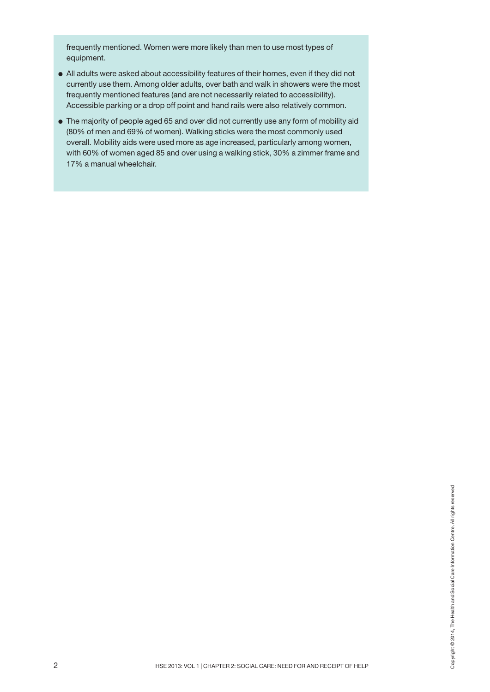frequently mentioned. Women were more likely than men to use most types of equipment.

- **●** All adults were asked about accessibility features of their homes, even if they did not currently use them. Among older adults, over bath and walk in showers were the most frequently mentioned features (and are not necessarily related to accessibility). Accessible parking or a drop off point and hand rails were also relatively common.
- **●** The majority of people aged 65 and over did not currently use any form of mobility aid (80% of men and 69% of women). Walking sticks were the most commonly used overall. Mobility aids were used more as age increased, particularly among women, with 60% of women aged 85 and over using a walking stick, 30% a zimmer frame and 17% a manual wheelchair.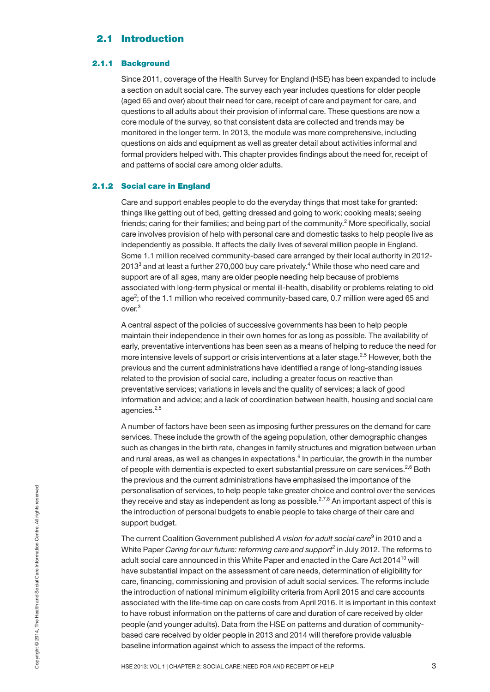## **2.1 Introduction**

## **2.1.1 Background**

Since 2011, coverage of the Health Survey for England (HSE) has been expanded to include a section on adult social care. The survey each year includes questions for older people (aged 65 and over) about their need for care, receipt of care and payment for care, and questions to all adults about their provision of informal care. These questions are now a core module of the survey, so that consistent data are collected and trends may be monitored in the longer term. In 2013, the module was more comprehensive, including questions on aids and equipment as well as greater detail about activities informal and formal providers helped with. This chapter provides findings about the need for, receipt of and patterns of social care among older adults.

## **2.1.2 Social care in England**

Care and support enables people to do the everyday things that most take for granted: things like getting out of bed, getting dressed and going to work; cooking meals; seeing friends; caring for their families; and being part of the community.<sup>2</sup> More specifically, social care involves provision of help with personal care and domestic tasks to help people live as independently as possible. It affects the daily lives of several million people in England. Some 1.1 million received community-based care arranged by their local authority in 2012- 2013 $^3$  and at least a further 270,000 buy care privately. $^4$  While those who need care and support are of all ages, many are older people needing help because of problems associated with long-term physical or mental ill-health, disability or problems relating to old age<sup>2</sup>; of the 1.1 million who received community-based care, 0.7 million were aged 65 and over. 3

A central aspect of the policies of successive governments has been to help people maintain their independence in their own homes for as long as possible. The availability of early, preventative interventions has been seen as a means of helping to reduce the need for more intensive levels of support or crisis interventions at a later stage.<sup>2,5</sup> However, both the previous and the current administrations have identified a range of long-standing issues related to the provision of social care, including a greater focus on reactive than preventative services; variations in levels and the quality of services; a lack of good information and advice; and a lack of coordination between health, housing and social care agencies. 2,5

A number of factors have been seen as imposing further pressures on the demand for care services. These include the growth of the ageing population, other demographic changes such as changes in the birth rate, changes in family structures and migration between urban and rural areas, as well as changes in expectations.<sup>6</sup> In particular, the growth in the number of people with dementia is expected to exert substantial pressure on care services.<sup>2,6</sup> Both the previous and the current administrations have emphasised the importance of the personalisation of services, to help people take greater choice and control over the services they receive and stay as independent as long as possible. $^{2,7,8}$  An important aspect of this is the introduction of personal budgets to enable people to take charge of their care and support budget.

For expective and stay as independent as long as possible.<sup>2,7,8</sup> An important aspect of this is the irreduction of personal budgets to enable people to take charge of their care and support budget.<br>The current Coalition The current Coalition Government published *A vision for adult social care*<sup>9</sup> in 2010 and a White Paper *Caring for our future: reforming care and support* <sup>2</sup> in July 2012. The reforms to adult social care announced in this White Paper and enacted in the Care Act  $2014^{10}$  will have substantial impact on the assessment of care needs, determination of eligibility for care, financing, commissioning and provision of adult social services. The reforms include the introduction of national minimum eligibility criteria from April 2015 and care accounts associated with the life-time cap on care costs from April 2016. It is important in this context to have robust information on the patterns of care and duration of care received by older people (and younger adults). Data from the HSE on patterns and duration of communitybased care received by older people in 2013 and 2014 will therefore provide valuable baseline information against which to assess the impact of the reforms.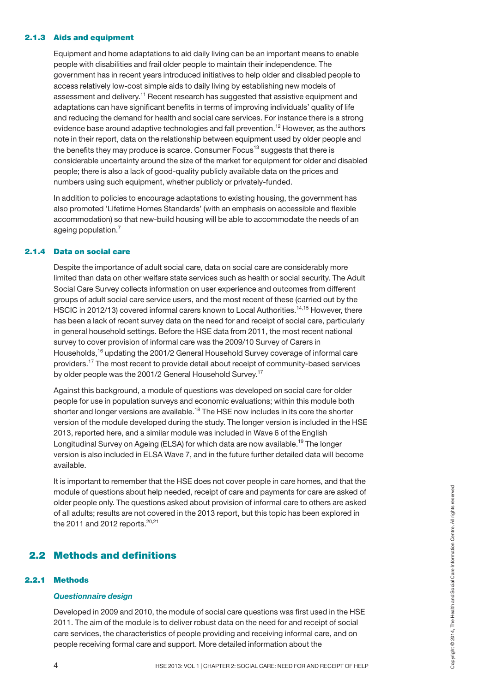#### **2.1.3 Aids and equipment**

Equipment and home adaptations to aid daily living can be an important means to enable people with disabilities and frail older people to maintain their independence. The government has in recent years introduced initiatives to help older and disabled people to access relatively low-cost simple aids to daily living by establishing new models of assessment and delivery.<sup>11</sup> Recent research has suggested that assistive equipment and adaptations can have significant benefits in terms of improving individuals' quality of life and reducing the demand for health and social care services. For instance there is a strong evidence base around adaptive technologies and fall prevention. <sup>12</sup> However, as the authors note in their report, data on the relationship between equipment used by older people and the benefits they may produce is scarce. Consumer Focus<sup>13</sup> suggests that there is considerable uncertainty around the size of the market for equipment for older and disabled people; there is also a lack of good-quality publicly available data on the prices and numbers using such equipment, whether publicly or privately-funded.

In addition to policies to encourage adaptations to existing housing, the government has also promoted 'Lifetime Homes Standards' (with an emphasis on accessible and flexible accommodation) so that new-build housing will be able to accommodate the needs of an ageing population.<sup>7</sup>

## **2.1.4 Data on social care**

Despite the importance of adult social care, data on social care are considerably more limited than data on other welfare state services such as health or social security. The Adult Social Care Survey collects information on user experience and outcomes from different groups of adult social care service users, and the most recent of these (carried out by the HSCIC in 2012/13) covered informal carers known to Local Authorities.<sup>14,15</sup> However, there has been a lack of recent survey data on the need for and receipt of social care, particularly in general household settings. Before the HSE data from 2011, the most recent national survey to cover provision of informal care was the 2009/10 Survey of Carers in Households,<sup>16</sup> updating the 2001/2 General Household Survey coverage of informal care providers.<sup>17</sup> The most recent to provide detail about receipt of community-based services by older people was the 2001/2 General Household Survey.<sup>17</sup>

Against this background, a module of questions was developed on social care for older people for use in population surveys and economic evaluations; within this module both shorter and longer versions are available.<sup>18</sup> The HSE now includes in its core the shorter version of the module developed during the study. The longer version is included in the HSE 2013, reported here, and a similar module was included in Wave 6 of the English Longitudinal Survey on Ageing (ELSA) for which data are now available. <sup>19</sup> The longer version is also included in ELSA Wave 7, and in the future further detailed data will become available.

It is important to remember that the HSE does not cover people in care homes, and that the module of questions about help needed, receipt of care and payments for care are asked of older people only. The questions asked about provision of informal care to others are asked of all adults; results are not covered in the 2013 report, but this topic has been explored in the 2011 and 2012 reports.<sup>20,21</sup> Module of questions about help needed, receipt of care and payments for care are asked of<br>older people only. The questions asked about provision of informal care to others are asked<br>of all adults; results are not covered i

## **2.2 Methods and definitions**

## **2.2.1 Methods**

#### *Questionnaire design*

Developed in 2009 and 2010, the module of social care questions was first used in the HSE 2011. The aim of the module is to deliver robust data on the need for and receipt of social care services, the characteristics of people providing and receiving informal care, and on people receiving formal care and support. More detailed information about the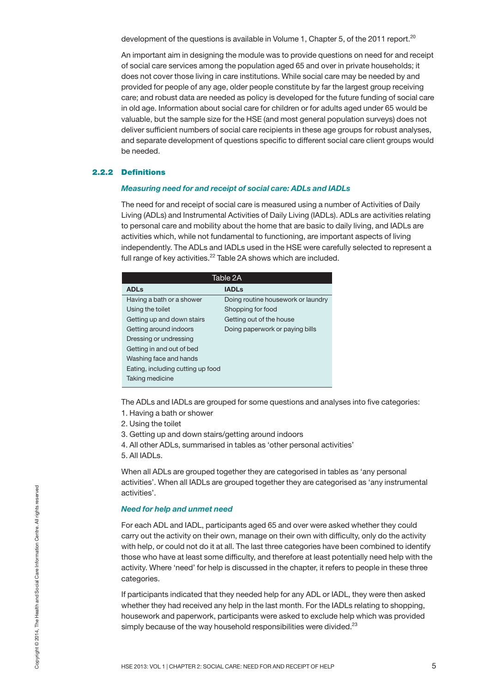development of the questions is available in Volume 1, Chapter 5, of the 2011 report.<sup>20</sup>

An important aim in designing the module was to provide questions on need for and receipt of social care services among the population aged 65 and over in private households; it does not cover those living in care institutions. While social care may be needed by and provided for people of any age, older people constitute by far the largest group receiving care; and robust data are needed as policy is developed for the future funding of social care in old age. Information about social care for children or for adults aged under 65 would be valuable, but the sample size for the HSE (and most general population surveys) does not deliver sufficient numbers of social care recipients in these age groups for robust analyses, and separate development of questions specific to different social care client groups would be needed.

#### **2.2.2 Definitions**

#### *Measuring need for and receipt of social care: ADLs and IADLs*

The need for and receipt of social care is measured using a number of Activities of Daily Living (ADLs) and Instrumental Activities of Daily Living (IADLs). ADLs are activities relating to personal care and mobility about the home that are basic to daily living, and IADLs are activities which, while not fundamental to functioning, are important aspects of living independently. The ADLs and IADLs used in the HSE were carefully selected to represent a full range of key activities.<sup>22</sup> Table 2A shows which are included.

|                                   | Table 2A                           |
|-----------------------------------|------------------------------------|
| <b>ADLs</b>                       | <b>IADLs</b>                       |
| Having a bath or a shower         | Doing routine housework or laundry |
| Using the toilet                  | Shopping for food                  |
| Getting up and down stairs        | Getting out of the house           |
| Getting around indoors            | Doing paperwork or paying bills    |
| Dressing or undressing            |                                    |
| Getting in and out of bed         |                                    |
| Washing face and hands            |                                    |
| Eating, including cutting up food |                                    |
| Taking medicine                   |                                    |
|                                   |                                    |

The ADLs and IADLs are grouped for some questions and analyses into five categories:

- 1. Having a bath or shower
- 2. Using the toilet
- 3. Getting up and down stairs/getting around indoors
- 4. All other ADLs, summarised in tables as 'other personal activities'
- 5. All IADLs.

When all ADLs are grouped together they are categorised in tables as 'any personal activities'. When all IADLs are grouped together they are categorised as 'any instrumental activities'.

## *Need for help and unmet need*

For each ADL and IADL, participants aged 65 and over were asked whether they could carry out the activity on their own, manage on their own with difficulty, only do the activity with help, or could not do it at all. The last three categories have been combined to identify those who have at least some difficulty, and therefore at least potentially need help with the activity. Where 'need' for help is discussed in the chapter, it refers to people in these three categories. Assessment and HADL, participants aged 65 and over were asked whether they could<br>
For each ADL and IADL, participants aged 65 and over were asked whether they could<br>
carry out the activity on their own, manage on their own

If participants indicated that they needed help for any ADL or IADL, they were then asked whether they had received any help in the last month. For the IADLs relating to shopping, housework and paperwork, participants were asked to exclude help which was provided simply because of the way household responsibilities were divided.<sup>23</sup>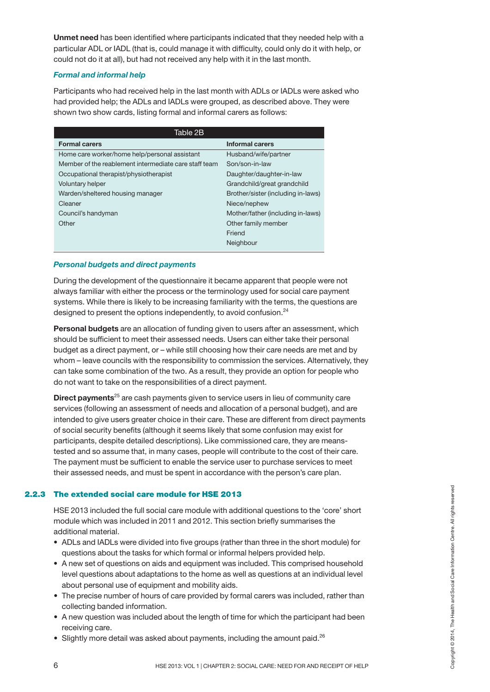**Unmet need** has been identified where participants indicated that they needed help with a particular ADL or IADL (that is, could manage it with difficulty, could only do it with help, or could not do it at all), but had not received any help with it in the last month.

## *Formal and informal help*

Participants who had received help in the last month with ADLs or IADLs were asked who had provided help; the ADLs and IADLs were grouped, as described above. They were shown two show cards, listing formal and informal carers as follows:

| Table 2B                                              |                                    |
|-------------------------------------------------------|------------------------------------|
| <b>Formal carers</b>                                  | <b>Informal carers</b>             |
| Home care worker/home help/personal assistant         | Husband/wife/partner               |
| Member of the reablement intermediate care staff team | Son/son-in-law                     |
| Occupational therapist/physiotherapist                | Daughter/daughter-in-law           |
| <b>Voluntary helper</b>                               | Grandchild/great grandchild        |
| Warden/sheltered housing manager                      | Brother/sister (including in-laws) |
| Cleaner                                               | Niece/nephew                       |
| Council's handyman                                    | Mother/father (including in-laws)  |
| Other                                                 | Other family member                |
|                                                       | Friend                             |
|                                                       | Neighbour                          |

## *Personal budgets and direct payments*

During the development of the questionnaire it became apparent that people were not always familiar with either the process or the terminology used for social care payment systems. While there is likely to be increasing familiarity with the terms, the questions are designed to present the options independently, to avoid confusion.<sup>24</sup>

**Personal budgets** are an allocation of funding given to users after an assessment, which should be sufficient to meet their assessed needs. Users can either take their personal budget as a direct payment, or – while still choosing how their care needs are met and by whom – leave councils with the responsibility to commission the services. Alternatively, they can take some combination of the two. As a result, they provide an option for people who do not want to take on the responsibilities of a direct payment.

**Direct payments**<sup>25</sup> are cash payments given to service users in lieu of community care services (following an assessment of needs and allocation of a personal budget), and are intended to give users greater choice in their care. These are different from direct payments of social security benefits (although it seems likely that some confusion may exist for participants, despite detailed descriptions). Like commissioned care, they are meanstested and so assume that, in many cases, people will contribute to the cost of their care. The payment must be sufficient to enable the service user to purchase services to meet their assessed needs, and must be spent in accordance with the person's care plan.

## **2.2.3 The extended social care module for HSE 2013**

HSE 2013 included the full social care module with additional questions to the 'core' short module which was included in 2011 and 2012. This section briefly summarises the additional material.

- ADLs and IADLs were divided into five groups (rather than three in the short module) for questions about the tasks for which formal or informal helpers provided help.
- A new set of questions on aids and equipment was included. This comprised household level questions about adaptations to the home as well as questions at an individual level about personal use of equipment and mobility aids. The extended social care module for NSE 2013<br>
HSE 2013 included the full social care module with additional questions to the 'core' short<br>
module which was included in 2011 and 2012. This section briefly summarises the<br>
a
- The precise number of hours of care provided by formal carers was included, rather than collecting banded information.
- A new question was included about the length of time for which the participant had been receiving care.
- $\bullet$  Slightly more detail was asked about payments, including the amount paid.<sup>26</sup>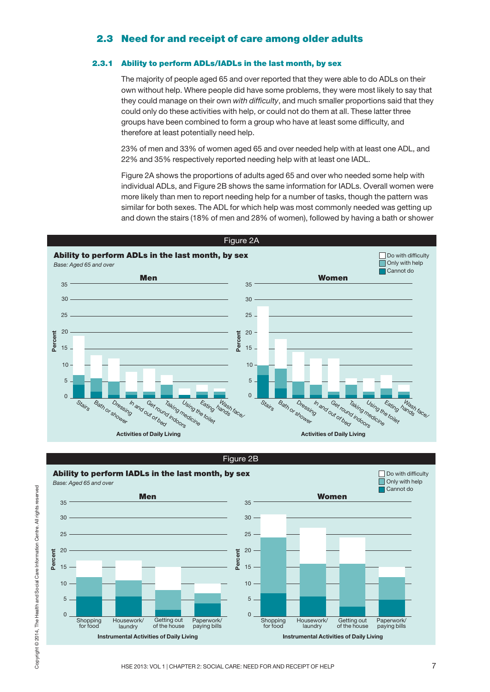## **2.3 Need for and receipt of care among older adults**

## **2.3.1 Ability to perform ADLs/IADLs in the last month, by sex**

The majority of people aged 65 and over reported that they were able to do ADLs on their own without help. Where people did have some problems, they were most likely to say that they could manage on their own *with difficulty*, and much smaller proportions said that they could only do these activities with help, or could not do them at all. These latter three groups have been combined to form a group who have at least some difficulty, and therefore at least potentially need help.

23% of men and 33% of women aged 65 and over needed help with at least one ADL, and 22% and 35% respectively reported needing help with at least one IADL.

Figure 2A shows the proportions of adults aged 65 and over who needed some help with individual ADLs, and Figure 2B shows the same information for IADLs. Overall women were more likely than men to report needing help for a number of tasks, though the pattern was similar for both sexes. The ADL for which help was most commonly needed was getting up and down the stairs (18% of men and 28% of women), followed by having a bath or shower



Figure 2B

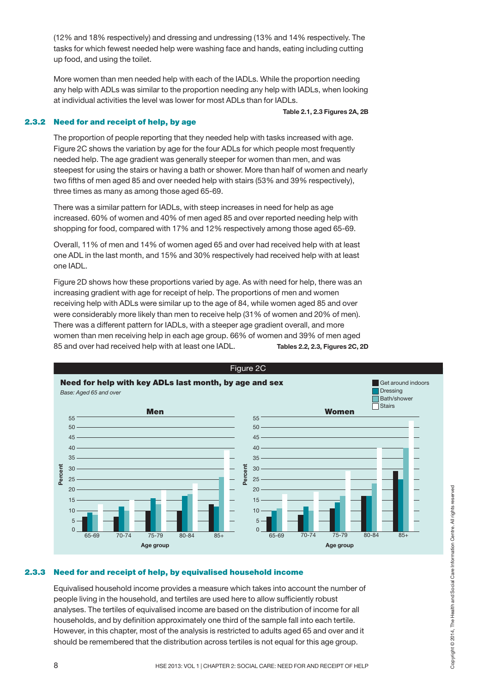(12% and 18% respectively) and dressing and undressing (13% and 14% respectively. The tasks for which fewest needed help were washing face and hands, eating including cutting up food, and using the toilet.

More women than men needed help with each of the IADLs. While the proportion needing any help with ADLs was similar to the proportion needing any help with IADLs, when looking at individual activities the level was lower for most ADLs than for IADLs.

#### **Table 2.1, 2.3 Figures 2A, 2B**

## **2.3.2 Need for and receipt of help, by age**

The proportion of people reporting that they needed help with tasks increased with age. Figure 2C shows the variation by age for the four ADLs for which people most frequently needed help. The age gradient was generally steeper for women than men, and was steepest for using the stairs or having a bath or shower. More than half of women and nearly two fifths of men aged 85 and over needed help with stairs (53% and 39% respectively), three times as many as among those aged 65-69.

There was a similar pattern for IADLs, with steep increases in need for help as age increased. 60% of women and 40% of men aged 85 and over reported needing help with shopping for food, compared with 17% and 12% respectively among those aged 65-69.

Overall, 11% of men and 14% of women aged 65 and over had received help with at least one ADL in the last month, and 15% and 30% respectively had received help with at least one IADL.

Figure 2D shows how these proportions varied by age. As with need for help, there was an increasing gradient with age for receipt of help. The proportions of men and women receiving help with ADLs were similar up to the age of 84, while women aged 85 and over were considerably more likely than men to receive help (31% of women and 20% of men). There was a different pattern for IADLs, with a steeper age gradient overall, and more women than men receiving help in each age group. 66% of women and 39% of men aged 85 and over had received help with at least one IADL. **Tables 2.2, 2.3, Figures 2C, 2D**



## **2.3.3 Need for and receipt of help, by equivalised household income**

Equivalised household income provides a measure which takes into account the number of people living in the household, and tertiles are used here to allow sufficiently robust analyses. The tertiles of equivalised income are based on the distribution of income for all households, and by definition approximately one third of the sample fall into each tertile. However, in this chapter, most of the analysis is restricted to adults aged 65 and over and it should be remembered that the distribution across tertiles is not equal for this age group.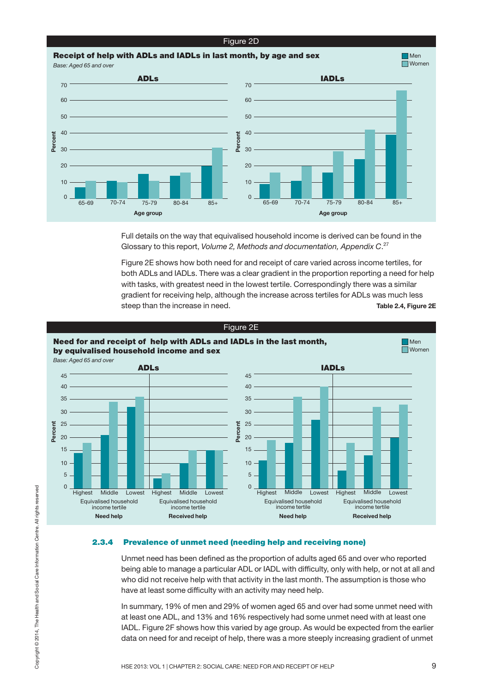#### Figure 2D

## **Receipt of help with ADLs and IADLs in last month, by age and sex**



Full details on the way that equivalised household income is derived can be found in the Glossary to this report, *Volume 2, Methods and documentation, Appendix C*. 27

Figure 2E shows how both need for and receipt of care varied across income tertiles, for both ADLs and IADLs. There was a clear gradient in the proportion reporting a need for help with tasks, with greatest need in the lowest tertile. Correspondingly there was a similar gradient for receiving help, although the increase across tertiles for ADLs was much less steep than the increase in need. **Table 2.4, Figure 2E**



#### **2.3.4 Prevalence of unmet need (needing help and receiving none)**

Unmet need has been defined as the proportion of adults aged 65 and over who reported being able to manage a particular ADL or IADL with difficulty, only with help, or not at all and who did not receive help with that activity in the last month. The assumption is those who have at least some difficulty with an activity may need help.

In summary, 19% of men and 29% of women aged 65 and over had some unmet need with at least one ADL, and 13% and 16% respectively had some unmet need with at least one IADL. Figure 2F shows how this varied by age group. As would be expected from the earlier data on need for and receipt of help, there was a more steeply increasing gradient of unmet

**Nen**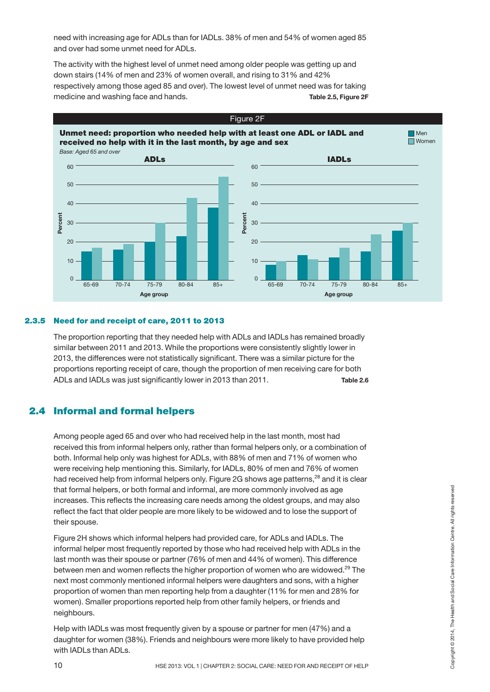need with increasing age for ADLs than for IADLs. 38% of men and 54% of women aged 85 and over had some unmet need for ADLs.

The activity with the highest level of unmet need among older people was getting up and down stairs (14% of men and 23% of women overall, and rising to 31% and 42% respectively among those aged 85 and over). The lowest level of unmet need was for taking medicine and washing face and hands. **Table 2.5, Figure 2F**



## **2.3.5 Need for and receipt of care, 2011 to 2013**

The proportion reporting that they needed help with ADLs and IADLs has remained broadly similar between 2011 and 2013. While the proportions were consistently slightly lower in 2013, the differences were not statistically significant. There was a similar picture for the proportions reporting receipt of care, though the proportion of men receiving care for both ADLs and IADLs was just significantly lower in 2013 than 2011. **Table 2.6**

## **2.4 Informal and formal helpers**

Among people aged 65 and over who had received help in the last month, most had received this from informal helpers only, rather than formal helpers only, or a combination of both. Informal help only was highest for ADLs, with 88% of men and 71% of women who were receiving help mentioning this. Similarly, for IADLs, 80% of men and 76% of women had received help from informal helpers only. Figure 2G shows age patterns,<sup>28</sup> and it is clear that formal helpers, or both formal and informal, are more commonly involved as age increases. This reflects the increasing care needs among the oldest groups, and may also reflect the fact that older people are more likely to be widowed and to lose the support of their spouse.

Figure 2H shows which informal helpers had provided care, for ADLs and IADLs. The informal helper most frequently reported by those who had received help with ADLs in the last month was their spouse or partner (76% of men and 44% of women). This difference between men and women reflects the higher proportion of women who are widowed.<sup>29</sup> The next most commonly mentioned informal helpers were daughters and sons, with a higher proportion of women than men reporting help from a daughter (11% for men and 28% for women). Smaller proportions reported help from other family helpers, or friends and neighbours. that formal helpers, or both formal and informal, are more commonly involved as age<br>increases. This reflects the increasing care needs among the oldest groups, and may also<br>
reflect the fact that older people are more like

Help with IADLs was most frequently given by a spouse or partner for men (47%) and a daughter for women (38%). Friends and neighbours were more likely to have provided help with IADLs than ADLs.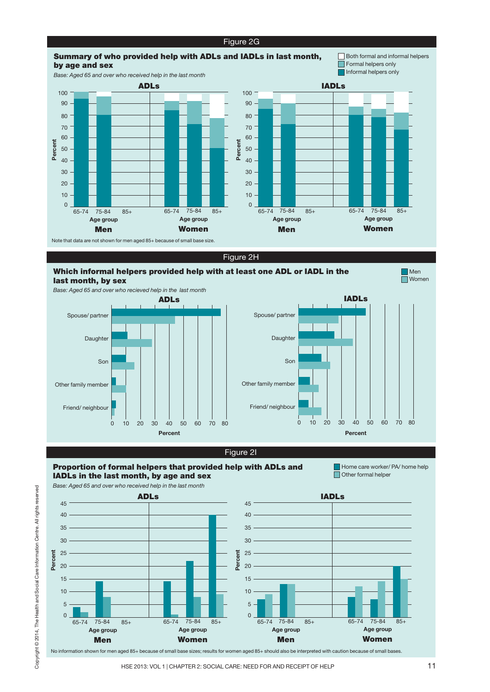![](_page_11_Figure_0.jpeg)

![](_page_11_Figure_2.jpeg)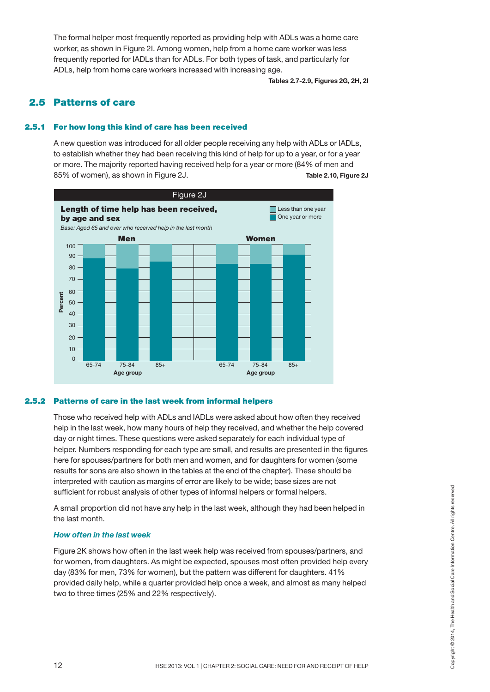The formal helper most frequently reported as providing help with ADLs was a home care worker, as shown in Figure 2I. Among women, help from a home care worker was less frequently reported for IADLs than for ADLs. For both types of task, and particularly for ADLs, help from home care workers increased with increasing age.

**Tables 2.7-2.9, Figures 2G, 2H, 2I**

## **2.5 Patterns of care**

## **2.5.1 For how long this kind of care has been received**

A new question was introduced for all older people receiving any help with ADLs or IADLs, to establish whether they had been receiving this kind of help for up to a year, or for a year or more. The majority reported having received help for a year or more (84% of men and 85% of women), as shown in Figure 2J. **Table 2.10, Figure 2J**

![](_page_12_Figure_5.jpeg)

## **2.5.2 Patterns of care in the last week from informal helpers**

Those who received help with ADLs and IADLs were asked about how often they received help in the last week, how many hours of help they received, and whether the help covered day or night times. These questions were asked separately for each individual type of helper. Numbers responding for each type are small, and results are presented in the figures here for spouses/partners for both men and women, and for daughters for women (some results for sons are also shown in the tables at the end of the chapter). These should be interpreted with caution as margins of error are likely to be wide; base sizes are not sufficient for robust analysis of other types of informal helpers or formal helpers.

A small proportion did not have any help in the last week, although they had been helped in the last month.

## *How often in the last week*

Figure 2K shows how often in the last week help was received from spouses/partners, and for women, from daughters. As might be expected, spouses most often provided help every day (83% for men, 73% for women), but the pattern was different for daughters. 41% provided daily help, while a quarter provided help once a week, and almost as many helped two to three times (25% and 22% respectively). sufficient for robust analysis of other types of informal helpers or formal helpers.<br>
A small proportion did not have any help in the last week, although they had been helped in<br>
the last month.<br>
How often in the last wee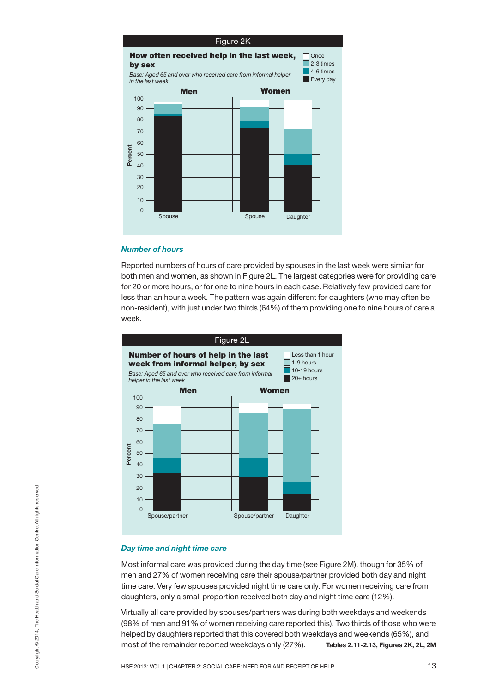![](_page_13_Figure_0.jpeg)

## *Number of hours*

Reported numbers of hours of care provided by spouses in the last week were similar for both men and women, as shown in Figure 2L. The largest categories were for providing care for 20 or more hours, or for one to nine hours in each case. Relatively few provided care for less than an hour a week. The pattern was again different for daughters (who may often be non-resident), with just under two thirds (64%) of them providing one to nine hours of care a week.

![](_page_13_Figure_3.jpeg)

#### *Day time and night time care*

Most informal care was provided during the day time (see Figure 2M), though for 35% of men and 27% of women receiving care their spouse/partner provided both day and night time care. Very few spouses provided night time care only. For women receiving care from daughters, only a small proportion received both day and night time care (12%).

Virtually all care provided by spouses/partners was during both weekdays and weekends (98% of men and 91% of women receiving care reported this). Two thirds of those who were helped by daughters reported that this covered both weekdays and weekends (65%), and most of the remainder reported weekdays only (27%). **Tables 2.11-2.13, Figures 2K, 2L, 2M** As the second of the manifold time care<br>
As time and night time care<br>
Most informal care was provided during the day time (see Figure 2M), though for 35% of<br>
men and 27% of women receiving care their spouse/partner provid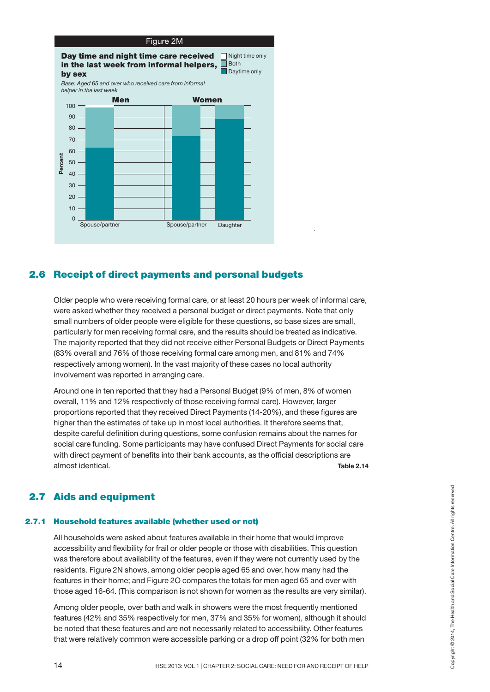![](_page_14_Figure_0.jpeg)

## **2.6 Receipt of direct payments and personal budgets**

Older people who were receiving formal care, or at least 20 hours per week of informal care, were asked whether they received a personal budget or direct payments. Note that only small numbers of older people were eligible for these questions, so base sizes are small, particularly for men receiving formal care, and the results should be treated as indicative. The majority reported that they did not receive either Personal Budgets or Direct Payments (83% overall and 76% of those receiving formal care among men, and 81% and 74% respectively among women). In the vast majority of these cases no local authority involvement was reported in arranging care.

Around one in ten reported that they had a Personal Budget (9% of men, 8% of women overall, 11% and 12% respectively of those receiving formal care). However, larger proportions reported that they received Direct Payments (14-20%), and these figures are higher than the estimates of take up in most local authorities. It therefore seems that, despite careful definition during questions, some confusion remains about the names for social care funding. Some participants may have confused Direct Payments for social care with direct payment of benefits into their bank accounts, as the official descriptions are almost identical. **Table 2.14**

## **2.7 Aids and equipment**

## **2.7.1 Household features available (whether used or not)**

All households were asked about features available in their home that would improve accessibility and flexibility for frail or older people or those with disabilities. This question was therefore about availability of the features, even if they were not currently used by the residents. Figure 2N shows, among older people aged 65 and over, how many had the features in their home; and Figure 2O compares the totals for men aged 65 and over with those aged 16-64. (This comparison is not shown for women as the results are very similar). **Aids and equipment**<br> **Household features available (whether used or not)**<br>
All households were asked about features available in their home that would improve<br>
accessibility and flexibility for frail or older people or t

Among older people, over bath and walk in showers were the most frequently mentioned features (42% and 35% respectively for men, 37% and 35% for women), although it should be noted that these features and are not necessarily related to accessibility. Other features that were relatively common were accessible parking or a drop off point (32% for both men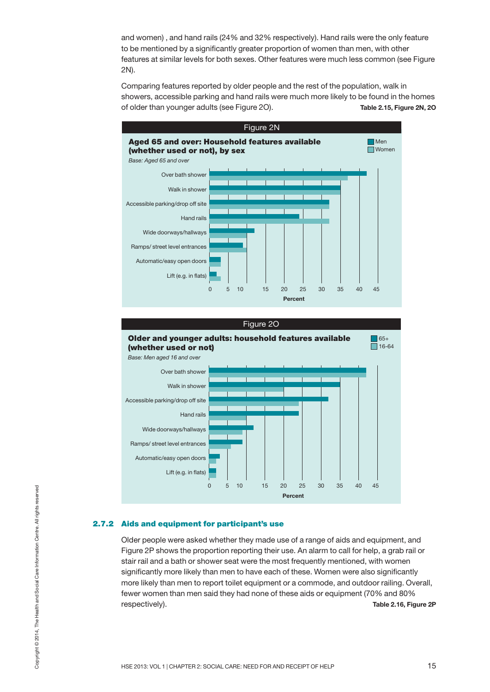and women) , and hand rails (24% and 32% respectively). Hand rails were the only feature to be mentioned by a significantly greater proportion of women than men, with other features at similar levels for both sexes. Other features were much less common (see Figure 2N).

Comparing features reported by older people and the rest of the population, walk in showers, accessible parking and hand rails were much more likely to be found in the homes of older than younger adults (see Figure 2O). **Table 2.15, Figure 2N, 2O**

![](_page_15_Figure_2.jpeg)

![](_page_15_Figure_3.jpeg)

## **2.7.2 Aids and equipment for participant's use**

Older people were asked whether they made use of a range of aids and equipment, and Figure 2P shows the proportion reporting their use. An alarm to call for help, a grab rail or stair rail and a bath or shower seat were the most frequently mentioned, with women significantly more likely than men to have each of these. Women were also significantly more likely than men to report toilet equipment or a commode, and outdoor railing. Overall, fewer women than men said they had none of these aids or equipment (70% and 80% respectively). **Table 2.16, Figure 2P** ASSED 2013: VOL 1 | CHAPTER 2: SOCIAL CARE: NEED FOR AND RECEIPT OF HELP 15 OPSET AND RECEIPT OF HELP 15 OPSET AND RECEIPT OF HELP 15 OPYRIGHT CARE: NEED FOR AND RECEIPT OF HELP 15 OPSET AND RECEIPT OF HELP 15 OPYRIGHT CAR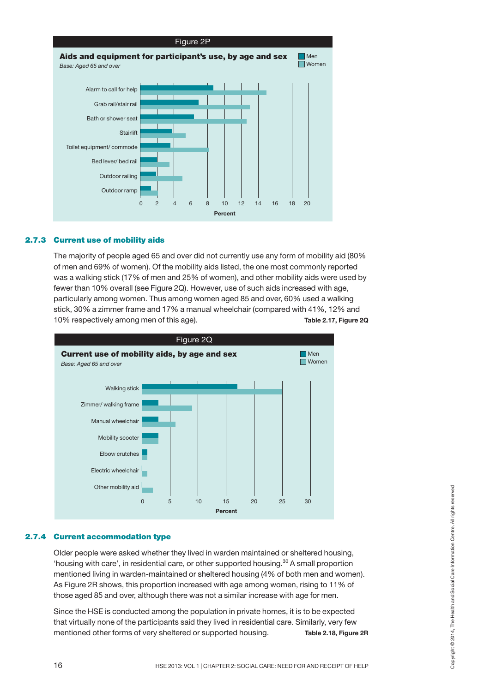![](_page_16_Figure_0.jpeg)

## **2.7.3 Current use of mobility aids**

The majority of people aged 65 and over did not currently use any form of mobility aid (80% of men and 69% of women). Of the mobility aids listed, the one most commonly reported was a walking stick (17% of men and 25% of women), and other mobility aids were used by fewer than 10% overall (see Figure 2Q). However, use of such aids increased with age, particularly among women. Thus among women aged 85 and over, 60% used a walking stick, 30% a zimmer frame and 17% a manual wheelchair (compared with 41%, 12% and 10% respectively among men of this age). **Table 2.17, Figure 2Q**

![](_page_16_Figure_3.jpeg)

## **2.7.4 Current accommodation type**

Older people were asked whether they lived in warden maintained or sheltered housing, 'housing with care', in residential care, or other supported housing. <sup>30</sup> A small proportion mentioned living in warden-maintained or sheltered housing (4% of both men and women). As Figure 2R shows, this proportion increased with age among women, rising to 11% of those aged 85 and over, although there was not a similar increase with age for men. Other mobility and  $\begin{array}{c|c|c|c|c} \n\hline\n\textbf{Current}\textbf{accommodation type} & & & & & \\
\hline\n\textbf{Current}\textbf{accommodation type} & & & & & \\
\hline\n\textbf{Cluster people were asked whether they lived inwarden maintained or sheltered housing, \n'housing with care', in residential care, or other supported housing.<sup>30</sup> A small proportion\nmentioned living in water-maintained or sheltered housing (4% of both men and women), \nAs Figure 2R Showe, this proportion increased with age from en.\n\nSince the HSE is conducted among the population in private homes, it is to be expected\nthat virtually none of the participants said they lived in residential care. Similarly, very few\nmentioned other forms of$ 

Since the HSE is conducted among the population in private homes, it is to be expected that virtually none of the participants said they lived in residential care. Similarly, very few mentioned other forms of very sheltered or supported housing. **Table 2.18, Figure 2R**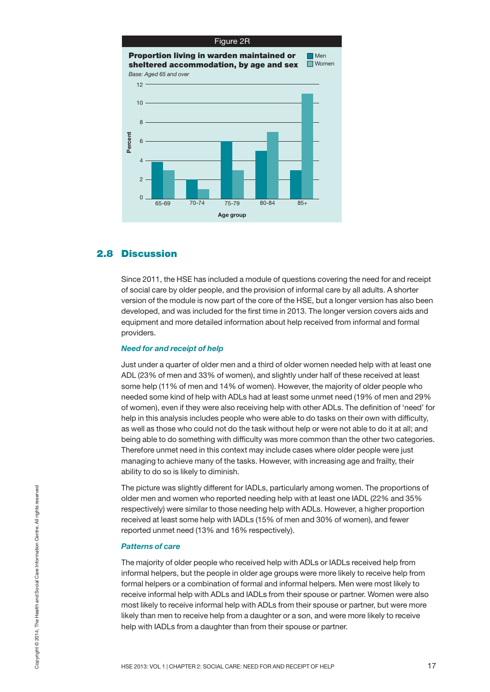![](_page_17_Figure_0.jpeg)

## **2.8 Discussion**

Since 2011, the HSE has included a module of questions covering the need for and receipt of social care by older people, and the provision of informal care by all adults. A shorter version of the module is now part of the core of the HSE, but a longer version has also been developed, and was included for the first time in 2013. The longer version covers aids and equipment and more detailed information about help received from informal and formal providers.

## *Need for and receipt of help*

Just under a quarter of older men and a third of older women needed help with at least one ADL (23% of men and 33% of women), and slightly under half of these received at least some help (11% of men and 14% of women). However, the majority of older people who needed some kind of help with ADLs had at least some unmet need (19% of men and 29% of women), even if they were also receiving help with other ADLs. The definition of 'need' for help in this analysis includes people who were able to do tasks on their own with difficulty, as well as those who could not do the task without help or were not able to do it at all; and being able to do something with difficulty was more common than the other two categories. Therefore unmet need in this context may include cases where older people were just managing to achieve many of the tasks. However, with increasing age and frailty, their ability to do so is likely to diminish.

The picture was slightly different for IADLs, particularly among women. The proportions of older men and women who reported needing help with at least one IADL (22% and 35% respectively) were similar to those needing help with ADLs. However, a higher proportion received at least some help with IADLs (15% of men and 30% of women), and fewer reported unmet need (13% and 16% respectively).

#### *Patterns of care*

The majority of older people who received help with ADLs or IADLs received help from informal helpers, but the people in older age groups were more likely to receive help from formal helpers or a combination of formal and informal helpers. Men were most likely to receive informal help with ADLs and IADLs from their spouse or partner. Women were also most likely to receive informal help with ADLs from their spouse or partner, but were more likely than men to receive help from a daughter or a son, and were more likely to receive help with IADLs from a daughter than from their spouse or partner. He picture was slightly different for IADLs, particularly among women. The proportions of<br>older men and women who reported needing help with ADLs. However, a higher proportion<br>received at least some help with IADLs (15% of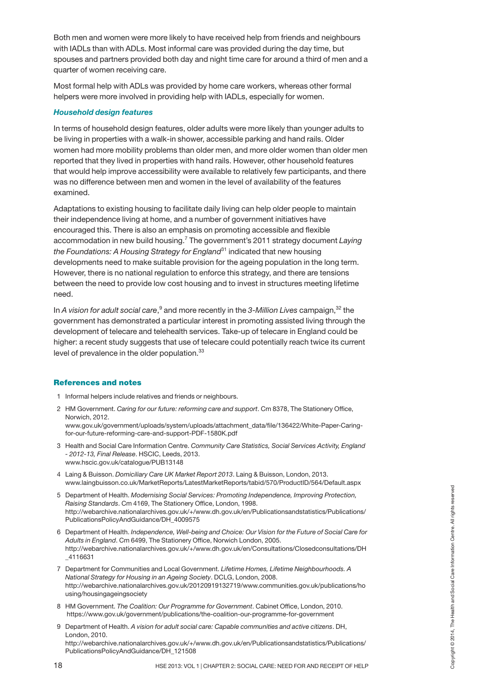Both men and women were more likely to have received help from friends and neighbours with IADLs than with ADLs. Most informal care was provided during the day time, but spouses and partners provided both day and night time care for around a third of men and a quarter of women receiving care.

Most formal help with ADLs was provided by home care workers, whereas other formal helpers were more involved in providing help with IADLs, especially for women.

## *Household design features*

In terms of household design features, older adults were more likely than younger adults to be living in properties with a walk-in shower, accessible parking and hand rails. Older women had more mobility problems than older men, and more older women than older men reported that they lived in properties with hand rails. However, other household features that would help improve accessibility were available to relatively few participants, and there was no difference between men and women in the level of availability of the features examined.

Adaptations to existing housing to facilitate daily living can help older people to maintain their independence living at home, and a number of government initiatives have encouraged this. There is also an emphasis on promoting accessible and flexible accommodation in new build housing. <sup>7</sup> The government's 2011 strategy document *Laying the Foundations: A Housing Strategy for England*<sup>31</sup> indicated that new housing developments need to make suitable provision for the ageing population in the long term. However, there is no national regulation to enforce this strategy, and there are tensions between the need to provide low cost housing and to invest in structures meeting lifetime need.

In *A vision for adult social care*, <sup>9</sup> and more recently in the *3-Million Lives* campaign, <sup>32</sup> the government has demonstrated a particular interest in promoting assisted living through the development of telecare and telehealth services. Take-up of telecare in England could be higher: a recent study suggests that use of telecare could potentially reach twice its current level of prevalence in the older population.<sup>33</sup>

## **References and notes**

- 1 Informal helpers include relatives and friends or neighbours.
- 2 HM Government. *Caring for our future: reforming care and support*. Cm 8378, The Stationery Office, Norwich, 2012. [www.gov.uk/government/uploads/system/uploads/attachment\\_data/file/136422/White-Paper-Caring](https://www.gov.uk/government/uploads/system/uploads/attachment_data/file/136422/White-Paper-Caring-for-our-future-reforming-care-and-support-PDF-1580K.pdf)for-our-future-reforming-care-and-support-PDF-1580K.pdf
- 3 Health and Social Care Information Centre. *Community Care Statistics, Social Services Activity, England - 2012-13, Final Release*. HSCIC, Leeds, 2013. www.hscic.gov.uk/catalogue/PUB13148
- 4 Laing & Buisson. *Domiciliary Care UK Market Report 2013*. Laing & Buisson, London, 2013. www.laingbuisson.co.uk/MarketReports/LatestMarketReports/tabid/570/ProductID/564/Default.aspx
- 5 Department of Health. *Modernising Social Services: Promoting Independence, Improving Protection, Raising Standards*. Cm 4169, The Stationery Office, London, 1998. [http://webarchive.nationalarchives.gov.uk/+/www.dh.gov.uk/en/Publicationsandstatistics/Publications/](http://webarchive.nationalarchives.gov.uk/+/www.dh.gov.uk/en/Publicationsandstatistics/Publications/PublicationsPolicyAndGuidance/DH_4009575) PublicationsPolicyAndGuidance/DH\_4009575
- 6 Department of Health. *Independence, Well-being and Choice: Our Vision for the Future of Social Care for Adults in England*. Cm 6499, The Stationery Office, Norwich London, 2005. [http://webarchive.nationalarchives.gov.uk/+/www.dh.gov.uk/en/Consultations/Closedconsultations/DH](http://webarchive.nationalarchives.gov.uk/+/www.dh.gov.uk/en/Consultations/Closedconsultations/DH_4116631) \_4116631
- 7 Department for Communities and Local Government. *Lifetime Homes, Lifetime Neighbourhoods. A National Strategy for Housing in an Ageing Society*. DCLG, London, 2008. [http://webarchive.nationalarchives.gov.uk/20120919132719/www.communities.gov.uk/publications/ho](http://webarchive.nationalarchives.gov.uk/20120919132719/www.communities.gov.uk/publications/housing/housingageingsociety) using/housingageingsociety 5 Department of Health. *Modernising Social Services: Promoting Independence, Improving Protection,*<br> *Raising Standars.* Cm 4189, The Stationey Office, London, 1998.<br>
PublicationsPolicyAndGuidance/DH\_4009575<br> **Publicatio**
- 8 HM Government. *The Coalition: Our Programme for Government*. Cabinet Office, London, 2010. <https://www.gov.uk/government/publications/the-coalition-our-programme-for-government>
- 9 Department of Health. *A vision for adult social care: Capable communities and active citizens*. DH, London, 2010. [http://webarchive.nationalarchives.gov.uk/+/www.dh.gov.uk/en/Publicationsandstatistics/Publications/](http://webarchive.nationalarchives.gov.uk/+/www.dh.gov.uk/en/Publicationsandstatistics/Publications/PublicationsPolicyAndGuidance/DH_121508) PublicationsPolicyAndGuidance/DH\_121508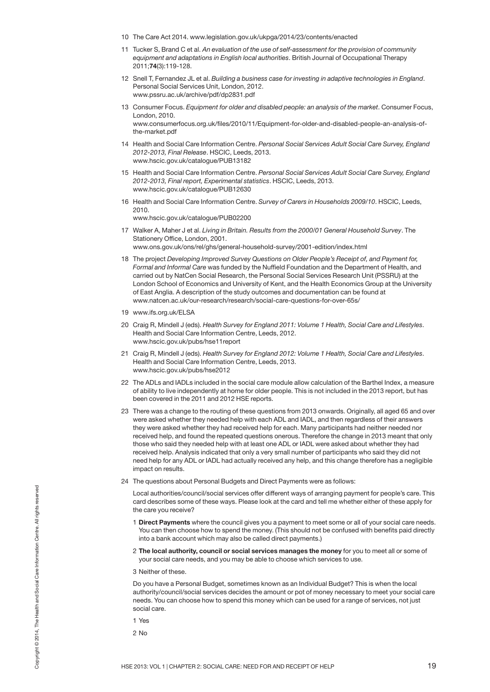- 10 The Care Act 2014. www.legislation.gov.uk/ukpga/2014/23/contents/enacted
- 11 Tucker S, Brand C et al. *An evaluation of the use of self-assessment for the provision of community equipment and adaptations in English local authorities*. British Journal of Occupational Therapy 2011;**74**(3):119-128.
- 12 Snell T, Fernandez JL et al. *Building a business case for investing in adaptive technologies in England*. Personal Social Services Unit, London, 2012. www.pssru.ac.uk/archive/pdf/dp2831.pdf
- 13 Consumer Focus. *Equipment for older and disabled people: an analysis of the market*. Consumer Focus, London, 2010. www.consumerfocus.org.uk/files/2010/11/Equipment-for-older-and-disabled-people-an-analysis-ofthe-market.pdf
- 14 Health and Social Care Information Centre. *Personal Social Services Adult Social Care Survey, England 2012-2013, Final Release*. HSCIC, Leeds, 2013. www.hscic.gov.uk/catalogue/PUB13182
- 15 Health and Social Care Information Centre. *Personal Social Services Adult Social Care Survey, England 2012-2013, Final report, Experimental statistics*. HSCIC, Leeds, 2013. www.hscic.gov.uk/catalogue/PUB12630
- 16 Health and Social Care Information Centre. *Survey of Carers in Households 2009/10*. HSCIC, Leeds, 2010.

www.hscic.gov.uk/catalogue/PUB02200

- 17 Walker A, Maher J et al. *Living in Britain. Results from the 2000/01 General Household Survey*. The Stationery Office, London, 2001. www.ons.gov.uk/ons/rel/ghs/general-household-survey/2001-edition/index.html
- 18 The project *Developing Improved Survey Questions on Older People's Receipt of, and Payment for, Formal and Informal Care* was funded by the Nuffield Foundation and the Department of Health, and carried out by NatCen Social Research, the Personal Social Services Research Unit (PSSRU) at the London School of Economics and University of Kent, and the Health Economics Group at the University of East Anglia. A description of the study outcomes and documentation can be found at www.natcen.ac.uk/our-research/research/social-care-questions-for-over-65s/
- 19 www.ifs.org.uk/ELSA
- 20 Craig R, Mindell J (eds). *Health Survey for England 2011: Volume 1 Health, Social Care and Lifestyles*. Health and Social Care Information Centre, Leeds, 2012. www.hscic.gov.uk/pubs/hse11report
- 21 Craig R, Mindell J (eds). *Health Survey for England 2012: Volume 1 Health, Social Care and Lifestyles*. Health and Social Care Information Centre, Leeds, 2013. www.hscic.gov.uk/pubs/hse2012
- 22 The ADLs and IADLs included in the social care module allow calculation of the Barthel Index, a measure of ability to live independently at home for older people. This is not included in the 2013 report, but has been covered in the 2011 and 2012 HSE reports.
- 23 There was a change to the routing of these questions from 2013 onwards. Originally, all aged 65 and over were asked whether they needed help with each ADL and IADL, and then regardless of their answers they were asked whether they had received help for each. Many participants had neither needed nor received help, and found the repeated questions onerous. Therefore the change in 2013 meant that only those who said they needed help with at least one ADL or IADL were asked about whether they had received help. Analysis indicated that only a very small number of participants who said they did not need help for any ADL or IADL had actually received any help, and this change therefore has a negligible impact on results.
- 24 The questions about Personal Budgets and Direct Payments were as follows:

Local authorities/council/social services offer different ways of arranging payment for people's care. This card describes some of these ways. Please look at the card and tell me whether either of these apply for the care you receive?

- 1 **Direct Payments** where the council gives you a payment to meet some or all of your social care needs. You can then choose how to spend the money. (This should not be confused with benefits paid directly into a bank account which may also be called direct payments.)
- 2 **The local authority, council or social services manages the money** for you to meet all or some of your social care needs, and you may be able to choose which services to use.
- 3 Neither of these.

Do you have a Personal Budget, sometimes known as an Individual Budget? This is when the local authority/council/social services decides the amount or pot of money necessary to meet your social care needs. You can choose how to spend this money which can be used for a range of services, not just social care. HSE 2013: VOL 1 | CHAPTER 2: SOCIAL CARE: NEED FOR AND RECEIPT OF HELP CHAPTER 2: 30 NE 2013: VOL 1 | CHAPTER 2: SOCIAL CARE: NEED FOR AND RECEIPT OF HELP 19 OR BASE 3014, The HEALTH AND RECEIPT OF HELP 19 ORD TO THE CARE

1 Yes

2 No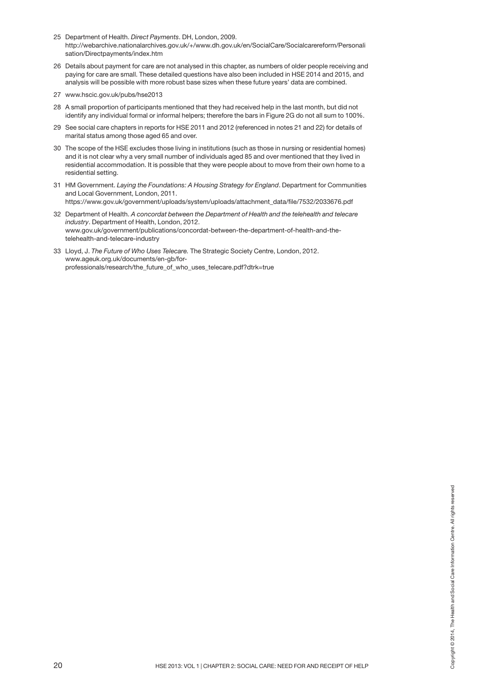- 25 Department of Health. *Direct Payments*. DH, London, 2009. [http://webarchive.nationalarchives.gov.uk/+/www.dh.gov.uk/en/SocialCare/Socialcarereform/Personali](http://webarchive.nationalarchives.gov.uk/+/www.dh.gov.uk/en/SocialCare/Socialcarereform/Personalisation/Directpayments/index.htm) sation/Directpayments/index.htm
- 26 Details about payment for care are not analysed in this chapter, as numbers of older people receiving and paying for care are small. These detailed questions have also been included in HSE 2014 and 2015, and analysis will be possible with more robust base sizes when these future years' data are combined.
- 27 www.hscic.gov.uk/pubs/hse2013
- 28 A small proportion of participants mentioned that they had received help in the last month, but did not identify any individual formal or informal helpers; therefore the bars in Figure 2G do not all sum to 100%.
- 29 See social care chapters in reports for HSE 2011 and 2012 (referenced in notes 21 and 22) for details of marital status among those aged 65 and over.
- 30 The scope of the HSE excludes those living in institutions (such as those in nursing or residential homes) and it is not clear why a very small number of individuals aged 85 and over mentioned that they lived in residential accommodation. It is possible that they were people about to move from their own home to a residential setting.
- 31 HM Government. *Laying the Foundations: A Housing Strategy for England*. Department for Communities and Local Government, London, 2011.

https://www.gov.uk/government/uploads/system/uploads/attachment\_data/file/7532/2033676.pdf

- 32 Department of Health. *A concordat between the Department of Health and the telehealth and telecare industry*. Department of Health, London, 2012. www.gov.uk/government/publications/concordat-between-the-department-of-health-and-thetelehealth-and-telecare-industry
- 33 Lloyd, J. *The Future of Who Uses Telecare.* The Strategic Society Centre, London, 2012. www.ageuk.org.uk/documents/en-gb/forprofessionals/research/the\_future\_of\_who\_uses\_telecare.pdf?dtrk=true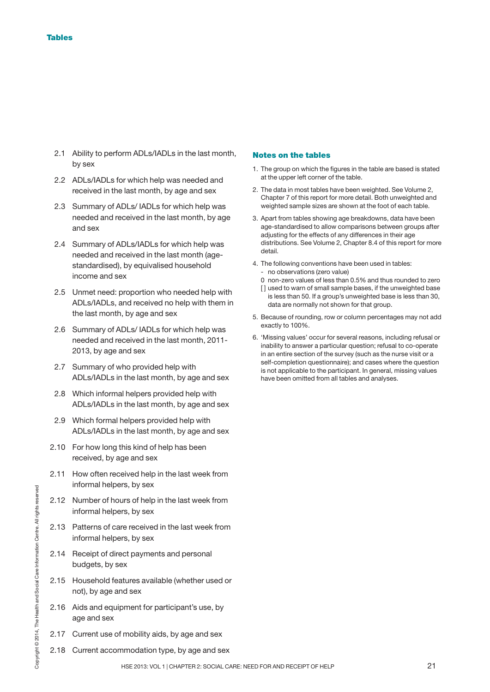- 2.1 Ability to perform ADLs/IADLs in the last month, by sex
- 2.2 ADLs/IADLs for which help was needed and received in the last month, by age and sex
- 2.3 Summary of ADLs/ IADLs for which help was needed and received in the last month, by age and sex
- 2.4 Summary of ADLs/IADLs for which help was needed and received in the last month (agestandardised), by equivalised household income and sex
- 2.5 Unmet need: proportion who needed help with ADLs/IADLs, and received no help with them in the last month, by age and sex
- 2.6 Summary of ADLs/ IADLs for which help was needed and received in the last month, 2011- 2013, by age and sex
- 2.7 Summary of who provided help with ADLs/IADLs in the last month, by age and sex
- 2.8 Which informal helpers provided help with ADLs/IADLs in the last month, by age and sex
- 2.9 Which formal helpers provided help with ADLs/IADLs in the last month, by age and sex
- 2.10 For how long this kind of help has been received, by age and sex
- 2.11 How often received help in the last week from informal helpers, by sex
- 2.12 Number of hours of help in the last week from informal helpers, by sex
- However thousand in the last week from<br>  $\frac{1}{2}$ <br>  $\frac{1}{2}$ <br>  $\frac{1}{3}$ <br>  $\frac{1}{4}$ <br>  $\frac{1}{5}$ <br>  $\frac{1}{2}$ <br>
2.13 Patterns of care received in the last week from<br>
informal helpers, by sex<br>
2.14 Receipt of direct payments and 2.13 Patterns of care received in the last week from informal helpers, by sex
	- 2.14 Receipt of direct payments and personal budgets, by sex
	- 2.15 Household features available (whether used or not), by age and sex
	- 2.16 Aids and equipment for participant's use, by age and sex
	- 2.17 Current use of mobility aids, by age and sex
	- 2.18 Current accommodation type, by age and sex

## **Notes on the tables**

- 1. The group on which the figures in the table are based is stated at the upper left corner of the table.
- 2. The data in most tables have been weighted. See Volume 2, Chapter 7 of this report for more detail. Both unweighted and weighted sample sizes are shown at the foot of each table.
- 3. Apart from tables showing age breakdowns, data have been age-standardised to allow comparisons between groups after adjusting for the effects of any differences in their age distributions. See Volume 2, Chapter 8.4 of this report for more detail.
- 4. The following conventions have been used in tables: - no observations (zero value)
	- 0 non-zero values of less than 0.5% and thus rounded to zero [] used to warn of small sample bases, if the unweighted base is less than 50. If a group's unweighted base is less than 30, data are normally not shown for that group.
- 5. Because of rounding, row or column percentages may not add exactly to 100%.
- 6. 'Missing values' occur for several reasons, including refusal or inability to answer a particular question; refusal to co-operate in an entire section of the survey (such as the nurse visit or a self-completion questionnaire); and cases where the question is not applicable to the participant. In general, missing values have been omitted from all tables and analyses.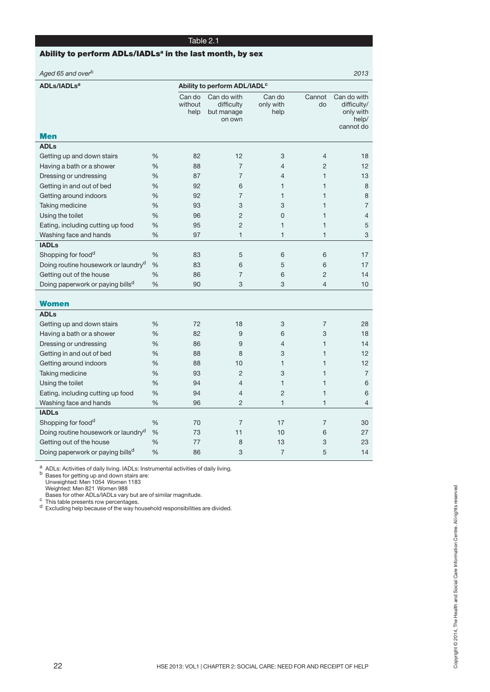## **Ability to perform ADLs/IADLsa in the last month, by sex**

| Aged 65 and over <sup>b</sup>                   |   |                           |                                                   |                             |                | 2013                                                          |
|-------------------------------------------------|---|---------------------------|---------------------------------------------------|-----------------------------|----------------|---------------------------------------------------------------|
| <b>ADLs/IADLs<sup>a</sup></b>                   |   |                           | Ability to perform ADL/IADL <sup>c</sup>          |                             |                |                                                               |
|                                                 |   | Can do<br>without<br>help | Can do with<br>difficulty<br>but manage<br>on own | Can do<br>only with<br>help | Cannot<br>do   | Can do with<br>difficulty/<br>only with<br>help/<br>cannot do |
| <b>Men</b>                                      |   |                           |                                                   |                             |                |                                                               |
| <b>ADLs</b>                                     |   |                           |                                                   |                             |                |                                                               |
| Getting up and down stairs                      | % | 82                        | 12                                                | 3                           | $\overline{4}$ | 18                                                            |
| Having a bath or a shower                       | % | 88                        | $\overline{7}$                                    | $\overline{4}$              | $\overline{2}$ | 12                                                            |
| Dressing or undressing                          | % | 87                        | $\overline{7}$                                    | 4                           | $\mathbf{1}$   | 13                                                            |
| Getting in and out of bed                       | % | 92                        | 6                                                 | $\mathbf{1}$                | $\mathbf{1}$   | 8                                                             |
| Getting around indoors                          | % | 92                        | $\overline{7}$                                    | $\mathbf{1}$                | $\mathbf{1}$   | 8                                                             |
| Taking medicine                                 | % | 93                        | 3                                                 | 3                           | $\mathbf{1}$   | 7                                                             |
| Using the toilet                                | % | 96                        | $\overline{c}$                                    | $\overline{0}$              | $\mathbf{1}$   | 4                                                             |
| Eating, including cutting up food               | % | 95                        | $\overline{2}$                                    | $\mathbf{1}$                | $\mathbf{1}$   | 5                                                             |
| Washing face and hands                          | % | 97                        | $\mathbf{1}$                                      | $\mathbf{1}$                | $\mathbf{1}$   | 3                                                             |
| <b>IADLs</b>                                    |   |                           |                                                   |                             |                |                                                               |
| Shopping for food <sup>d</sup>                  | % | 83                        | 5                                                 | 6                           | 6              | 17                                                            |
| Doing routine housework or laundry <sup>d</sup> | % | 83                        | 6                                                 | 5                           | 6              | 17                                                            |
| Getting out of the house                        | % | 86                        | $\overline{7}$                                    | 6                           | $\overline{2}$ | 14                                                            |
| Doing paperwork or paying bills <sup>d</sup>    | % | 90                        | 3                                                 | 3                           | $\overline{4}$ | 10                                                            |
|                                                 |   |                           |                                                   |                             |                |                                                               |
| <b>Women</b>                                    |   |                           |                                                   |                             |                |                                                               |
| <b>ADLs</b>                                     |   |                           |                                                   |                             |                |                                                               |
| Getting up and down stairs                      | % | 72                        | 18                                                | 3                           | $\overline{7}$ | 28                                                            |
| Having a bath or a shower                       | % | 82                        | 9                                                 | 6                           | 3              | 18                                                            |
| Dressing or undressing                          | % | 86                        | 9                                                 | $\overline{4}$              | $\mathbf{1}$   | 14                                                            |
| Getting in and out of bed                       | % | 88                        | 8                                                 | 3                           | $\mathbf{1}$   | 12                                                            |
| Getting around indoors                          | % | 88                        | 10                                                | $\mathbf{1}$                | $\mathbf{1}$   | 12                                                            |
| Taking medicine                                 | % | 93                        | $\overline{2}$                                    | 3                           | $\mathbf{1}$   | $\overline{7}$                                                |
| Using the toilet                                | % | 94                        | $\overline{4}$                                    | $\mathbf{1}$                | $\mathbf{1}$   | 6                                                             |
| Eating, including cutting up food               | % | 94                        | $\overline{4}$                                    | $\overline{2}$              | $\mathbf{1}$   | 6                                                             |
| Washing face and hands                          | % | 96                        | $\overline{c}$                                    | $\mathbf{1}$                | $\mathbf{1}$   | 4                                                             |
| <b>IADLs</b>                                    |   |                           |                                                   |                             |                |                                                               |
| Shopping for food <sup>d</sup>                  | % | 70                        | $\overline{7}$                                    | 17                          | 7              | 30                                                            |
| Doing routine housework or laundry <sup>d</sup> | % | 73                        | 11                                                | 10                          | 6              | 27                                                            |
| Getting out of the house                        | % | 77                        | 8                                                 | 13                          | 3              | 23                                                            |
| Doing paperwork or paying bills <sup>d</sup>    | % | 86                        | 3                                                 | $\overline{7}$              | 5              | 14                                                            |

<sup>a</sup> ADLs: Activities of daily living. IADLs: Instrumental activities of daily living.<br><sup>b</sup> Bases for getting up and down stairs are:

Unweighted: Men 1054 Women 1183 Weighted: Men 821 Women 988

Bases for other ADLs/IADLs vary but are of similar magnitude.<br><sup>c</sup> This table presents row percentages.<br><sup>d</sup> Excluding help because of the way household responsibilities are divided.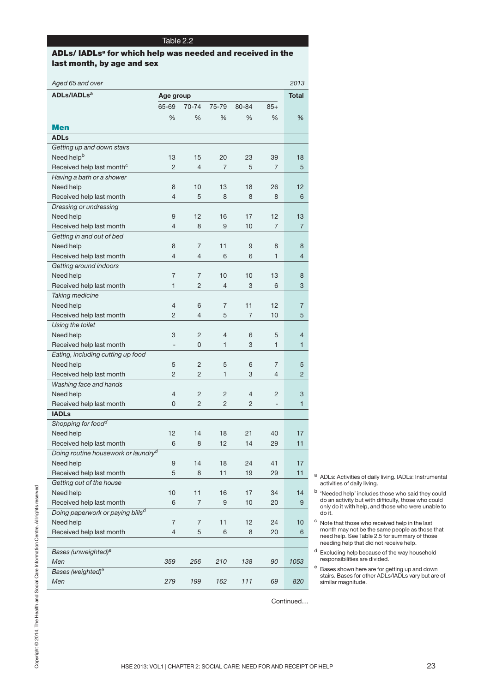## **ADLs/ IADLsa for which help was needed and received in the last month, by age and sex**

| 65-69<br>%<br><b>Men</b><br><b>ADLs</b><br>Getting up and down stairs<br>Need help <sup>b</sup><br>13<br>Received help last month <sup>c</sup><br>$\overline{2}$<br>Having a bath or a shower<br>Need help<br>8<br>Received help last month<br>4<br>Dressing or undressing<br>Need help<br>9<br>Received help last month<br>4<br>Getting in and out of bed<br>Need help<br>8<br>Received help last month<br>$\overline{4}$<br>Getting around indoors<br>Need help<br>7<br>$\mathbf{1}$<br>Received help last month<br>Taking medicine<br>Need help<br>4<br>Received help last month<br>$\overline{2}$<br>Using the toilet<br>3<br>Need help<br>Received help last month<br>$\overline{\phantom{0}}$<br>Eating, including cutting up food<br>Need help<br>5<br>Received help last month<br>$\overline{2}$<br>Washing face and hands<br>Need help<br>4<br>Received help last month<br>0<br><b>IADLs</b><br>Shopping for food <sup>d</sup><br>12<br>Need help<br>Received help last month<br>6<br>Doing routine housework or laundry <sup>d</sup><br>Need help<br>9<br>5<br>Received help last month<br>Getting out of the house<br>Need help<br>10<br>6<br>Received help last month<br>Doing paperwork or paying bills <sup>d</sup><br>Need help<br>7<br>Received help last month<br>4 | 70-74<br>%<br>15<br>$\overline{4}$<br>10<br>5<br>12<br>8<br>7<br>4<br>7<br>$\overline{c}$<br>6<br>$\overline{4}$<br>$\overline{c}$<br>0<br>$\overline{c}$<br>$\overline{c}$<br>2<br>$\overline{2}$ | 75-79<br>%<br>20<br>$\overline{7}$<br>13<br>8<br>16<br>9<br>11<br>6<br>10<br>$\overline{4}$<br>7<br>5<br>4<br>$\mathbf{1}$<br>5<br>$\mathbf{1}$<br>2<br>$\overline{2}$ | 80-84<br>%<br>23<br>5<br>18<br>8<br>17<br>10<br>9<br>6<br>10<br>3<br>11<br>$\overline{7}$<br>6<br>3<br>6<br>3<br>$\overline{4}$ | $85+$<br>%<br>39<br>$\overline{7}$<br>26<br>8<br>12<br>$\overline{7}$<br>8<br>1<br>13<br>6<br>12<br>10<br>5<br>1<br>$\overline{7}$<br>4 | %<br>18<br>5<br>12<br>6<br>13<br>7<br>8<br>$\overline{4}$<br>8<br>3<br>7<br>5<br>4<br>1<br>5<br>2 |                                                                                                   |
|--------------------------------------------------------------------------------------------------------------------------------------------------------------------------------------------------------------------------------------------------------------------------------------------------------------------------------------------------------------------------------------------------------------------------------------------------------------------------------------------------------------------------------------------------------------------------------------------------------------------------------------------------------------------------------------------------------------------------------------------------------------------------------------------------------------------------------------------------------------------------------------------------------------------------------------------------------------------------------------------------------------------------------------------------------------------------------------------------------------------------------------------------------------------------------------------------------------------------------------------------------------------------------------|----------------------------------------------------------------------------------------------------------------------------------------------------------------------------------------------------|------------------------------------------------------------------------------------------------------------------------------------------------------------------------|---------------------------------------------------------------------------------------------------------------------------------|-----------------------------------------------------------------------------------------------------------------------------------------|---------------------------------------------------------------------------------------------------|---------------------------------------------------------------------------------------------------|
|                                                                                                                                                                                                                                                                                                                                                                                                                                                                                                                                                                                                                                                                                                                                                                                                                                                                                                                                                                                                                                                                                                                                                                                                                                                                                      |                                                                                                                                                                                                    |                                                                                                                                                                        |                                                                                                                                 |                                                                                                                                         |                                                                                                   |                                                                                                   |
|                                                                                                                                                                                                                                                                                                                                                                                                                                                                                                                                                                                                                                                                                                                                                                                                                                                                                                                                                                                                                                                                                                                                                                                                                                                                                      |                                                                                                                                                                                                    |                                                                                                                                                                        |                                                                                                                                 |                                                                                                                                         |                                                                                                   |                                                                                                   |
|                                                                                                                                                                                                                                                                                                                                                                                                                                                                                                                                                                                                                                                                                                                                                                                                                                                                                                                                                                                                                                                                                                                                                                                                                                                                                      |                                                                                                                                                                                                    |                                                                                                                                                                        |                                                                                                                                 |                                                                                                                                         |                                                                                                   |                                                                                                   |
|                                                                                                                                                                                                                                                                                                                                                                                                                                                                                                                                                                                                                                                                                                                                                                                                                                                                                                                                                                                                                                                                                                                                                                                                                                                                                      |                                                                                                                                                                                                    |                                                                                                                                                                        |                                                                                                                                 |                                                                                                                                         |                                                                                                   |                                                                                                   |
|                                                                                                                                                                                                                                                                                                                                                                                                                                                                                                                                                                                                                                                                                                                                                                                                                                                                                                                                                                                                                                                                                                                                                                                                                                                                                      |                                                                                                                                                                                                    |                                                                                                                                                                        |                                                                                                                                 |                                                                                                                                         |                                                                                                   |                                                                                                   |
|                                                                                                                                                                                                                                                                                                                                                                                                                                                                                                                                                                                                                                                                                                                                                                                                                                                                                                                                                                                                                                                                                                                                                                                                                                                                                      |                                                                                                                                                                                                    |                                                                                                                                                                        |                                                                                                                                 |                                                                                                                                         |                                                                                                   |                                                                                                   |
|                                                                                                                                                                                                                                                                                                                                                                                                                                                                                                                                                                                                                                                                                                                                                                                                                                                                                                                                                                                                                                                                                                                                                                                                                                                                                      |                                                                                                                                                                                                    |                                                                                                                                                                        |                                                                                                                                 |                                                                                                                                         |                                                                                                   |                                                                                                   |
|                                                                                                                                                                                                                                                                                                                                                                                                                                                                                                                                                                                                                                                                                                                                                                                                                                                                                                                                                                                                                                                                                                                                                                                                                                                                                      |                                                                                                                                                                                                    |                                                                                                                                                                        |                                                                                                                                 |                                                                                                                                         |                                                                                                   |                                                                                                   |
|                                                                                                                                                                                                                                                                                                                                                                                                                                                                                                                                                                                                                                                                                                                                                                                                                                                                                                                                                                                                                                                                                                                                                                                                                                                                                      |                                                                                                                                                                                                    |                                                                                                                                                                        |                                                                                                                                 |                                                                                                                                         |                                                                                                   |                                                                                                   |
|                                                                                                                                                                                                                                                                                                                                                                                                                                                                                                                                                                                                                                                                                                                                                                                                                                                                                                                                                                                                                                                                                                                                                                                                                                                                                      |                                                                                                                                                                                                    |                                                                                                                                                                        |                                                                                                                                 |                                                                                                                                         |                                                                                                   |                                                                                                   |
|                                                                                                                                                                                                                                                                                                                                                                                                                                                                                                                                                                                                                                                                                                                                                                                                                                                                                                                                                                                                                                                                                                                                                                                                                                                                                      |                                                                                                                                                                                                    |                                                                                                                                                                        |                                                                                                                                 |                                                                                                                                         |                                                                                                   |                                                                                                   |
|                                                                                                                                                                                                                                                                                                                                                                                                                                                                                                                                                                                                                                                                                                                                                                                                                                                                                                                                                                                                                                                                                                                                                                                                                                                                                      |                                                                                                                                                                                                    |                                                                                                                                                                        |                                                                                                                                 |                                                                                                                                         |                                                                                                   |                                                                                                   |
|                                                                                                                                                                                                                                                                                                                                                                                                                                                                                                                                                                                                                                                                                                                                                                                                                                                                                                                                                                                                                                                                                                                                                                                                                                                                                      |                                                                                                                                                                                                    |                                                                                                                                                                        |                                                                                                                                 |                                                                                                                                         |                                                                                                   |                                                                                                   |
|                                                                                                                                                                                                                                                                                                                                                                                                                                                                                                                                                                                                                                                                                                                                                                                                                                                                                                                                                                                                                                                                                                                                                                                                                                                                                      |                                                                                                                                                                                                    |                                                                                                                                                                        |                                                                                                                                 |                                                                                                                                         |                                                                                                   |                                                                                                   |
|                                                                                                                                                                                                                                                                                                                                                                                                                                                                                                                                                                                                                                                                                                                                                                                                                                                                                                                                                                                                                                                                                                                                                                                                                                                                                      |                                                                                                                                                                                                    |                                                                                                                                                                        |                                                                                                                                 |                                                                                                                                         |                                                                                                   |                                                                                                   |
|                                                                                                                                                                                                                                                                                                                                                                                                                                                                                                                                                                                                                                                                                                                                                                                                                                                                                                                                                                                                                                                                                                                                                                                                                                                                                      |                                                                                                                                                                                                    |                                                                                                                                                                        |                                                                                                                                 |                                                                                                                                         |                                                                                                   |                                                                                                   |
|                                                                                                                                                                                                                                                                                                                                                                                                                                                                                                                                                                                                                                                                                                                                                                                                                                                                                                                                                                                                                                                                                                                                                                                                                                                                                      |                                                                                                                                                                                                    |                                                                                                                                                                        |                                                                                                                                 |                                                                                                                                         |                                                                                                   |                                                                                                   |
|                                                                                                                                                                                                                                                                                                                                                                                                                                                                                                                                                                                                                                                                                                                                                                                                                                                                                                                                                                                                                                                                                                                                                                                                                                                                                      |                                                                                                                                                                                                    |                                                                                                                                                                        |                                                                                                                                 |                                                                                                                                         |                                                                                                   |                                                                                                   |
|                                                                                                                                                                                                                                                                                                                                                                                                                                                                                                                                                                                                                                                                                                                                                                                                                                                                                                                                                                                                                                                                                                                                                                                                                                                                                      |                                                                                                                                                                                                    |                                                                                                                                                                        |                                                                                                                                 |                                                                                                                                         |                                                                                                   |                                                                                                   |
|                                                                                                                                                                                                                                                                                                                                                                                                                                                                                                                                                                                                                                                                                                                                                                                                                                                                                                                                                                                                                                                                                                                                                                                                                                                                                      |                                                                                                                                                                                                    |                                                                                                                                                                        |                                                                                                                                 |                                                                                                                                         |                                                                                                   |                                                                                                   |
|                                                                                                                                                                                                                                                                                                                                                                                                                                                                                                                                                                                                                                                                                                                                                                                                                                                                                                                                                                                                                                                                                                                                                                                                                                                                                      |                                                                                                                                                                                                    |                                                                                                                                                                        |                                                                                                                                 |                                                                                                                                         |                                                                                                   |                                                                                                   |
|                                                                                                                                                                                                                                                                                                                                                                                                                                                                                                                                                                                                                                                                                                                                                                                                                                                                                                                                                                                                                                                                                                                                                                                                                                                                                      |                                                                                                                                                                                                    |                                                                                                                                                                        |                                                                                                                                 |                                                                                                                                         |                                                                                                   |                                                                                                   |
|                                                                                                                                                                                                                                                                                                                                                                                                                                                                                                                                                                                                                                                                                                                                                                                                                                                                                                                                                                                                                                                                                                                                                                                                                                                                                      |                                                                                                                                                                                                    |                                                                                                                                                                        |                                                                                                                                 |                                                                                                                                         |                                                                                                   |                                                                                                   |
|                                                                                                                                                                                                                                                                                                                                                                                                                                                                                                                                                                                                                                                                                                                                                                                                                                                                                                                                                                                                                                                                                                                                                                                                                                                                                      |                                                                                                                                                                                                    |                                                                                                                                                                        |                                                                                                                                 |                                                                                                                                         |                                                                                                   |                                                                                                   |
|                                                                                                                                                                                                                                                                                                                                                                                                                                                                                                                                                                                                                                                                                                                                                                                                                                                                                                                                                                                                                                                                                                                                                                                                                                                                                      |                                                                                                                                                                                                    |                                                                                                                                                                        |                                                                                                                                 |                                                                                                                                         |                                                                                                   |                                                                                                   |
|                                                                                                                                                                                                                                                                                                                                                                                                                                                                                                                                                                                                                                                                                                                                                                                                                                                                                                                                                                                                                                                                                                                                                                                                                                                                                      |                                                                                                                                                                                                    |                                                                                                                                                                        |                                                                                                                                 |                                                                                                                                         |                                                                                                   |                                                                                                   |
|                                                                                                                                                                                                                                                                                                                                                                                                                                                                                                                                                                                                                                                                                                                                                                                                                                                                                                                                                                                                                                                                                                                                                                                                                                                                                      |                                                                                                                                                                                                    |                                                                                                                                                                        |                                                                                                                                 |                                                                                                                                         |                                                                                                   |                                                                                                   |
|                                                                                                                                                                                                                                                                                                                                                                                                                                                                                                                                                                                                                                                                                                                                                                                                                                                                                                                                                                                                                                                                                                                                                                                                                                                                                      |                                                                                                                                                                                                    |                                                                                                                                                                        |                                                                                                                                 |                                                                                                                                         |                                                                                                   |                                                                                                   |
|                                                                                                                                                                                                                                                                                                                                                                                                                                                                                                                                                                                                                                                                                                                                                                                                                                                                                                                                                                                                                                                                                                                                                                                                                                                                                      |                                                                                                                                                                                                    |                                                                                                                                                                        |                                                                                                                                 |                                                                                                                                         |                                                                                                   |                                                                                                   |
|                                                                                                                                                                                                                                                                                                                                                                                                                                                                                                                                                                                                                                                                                                                                                                                                                                                                                                                                                                                                                                                                                                                                                                                                                                                                                      |                                                                                                                                                                                                    |                                                                                                                                                                        |                                                                                                                                 | 2                                                                                                                                       | 3                                                                                                 |                                                                                                   |
|                                                                                                                                                                                                                                                                                                                                                                                                                                                                                                                                                                                                                                                                                                                                                                                                                                                                                                                                                                                                                                                                                                                                                                                                                                                                                      |                                                                                                                                                                                                    |                                                                                                                                                                        | 2                                                                                                                               | $\overline{\phantom{a}}$                                                                                                                | 1                                                                                                 |                                                                                                   |
|                                                                                                                                                                                                                                                                                                                                                                                                                                                                                                                                                                                                                                                                                                                                                                                                                                                                                                                                                                                                                                                                                                                                                                                                                                                                                      |                                                                                                                                                                                                    |                                                                                                                                                                        |                                                                                                                                 |                                                                                                                                         |                                                                                                   |                                                                                                   |
|                                                                                                                                                                                                                                                                                                                                                                                                                                                                                                                                                                                                                                                                                                                                                                                                                                                                                                                                                                                                                                                                                                                                                                                                                                                                                      |                                                                                                                                                                                                    |                                                                                                                                                                        |                                                                                                                                 |                                                                                                                                         |                                                                                                   |                                                                                                   |
|                                                                                                                                                                                                                                                                                                                                                                                                                                                                                                                                                                                                                                                                                                                                                                                                                                                                                                                                                                                                                                                                                                                                                                                                                                                                                      | 14                                                                                                                                                                                                 | 18                                                                                                                                                                     | 21                                                                                                                              | 40                                                                                                                                      | 17                                                                                                |                                                                                                   |
|                                                                                                                                                                                                                                                                                                                                                                                                                                                                                                                                                                                                                                                                                                                                                                                                                                                                                                                                                                                                                                                                                                                                                                                                                                                                                      | 8                                                                                                                                                                                                  | 12                                                                                                                                                                     | 14                                                                                                                              | 29                                                                                                                                      | 11                                                                                                |                                                                                                   |
|                                                                                                                                                                                                                                                                                                                                                                                                                                                                                                                                                                                                                                                                                                                                                                                                                                                                                                                                                                                                                                                                                                                                                                                                                                                                                      |                                                                                                                                                                                                    |                                                                                                                                                                        |                                                                                                                                 |                                                                                                                                         |                                                                                                   |                                                                                                   |
|                                                                                                                                                                                                                                                                                                                                                                                                                                                                                                                                                                                                                                                                                                                                                                                                                                                                                                                                                                                                                                                                                                                                                                                                                                                                                      | 14                                                                                                                                                                                                 | 18                                                                                                                                                                     | 24                                                                                                                              | 41                                                                                                                                      | 17                                                                                                |                                                                                                   |
|                                                                                                                                                                                                                                                                                                                                                                                                                                                                                                                                                                                                                                                                                                                                                                                                                                                                                                                                                                                                                                                                                                                                                                                                                                                                                      | 8                                                                                                                                                                                                  | 11                                                                                                                                                                     | 19                                                                                                                              | 29                                                                                                                                      | 11                                                                                                | а<br>ADLs: Activities of daily living. IADLs: Instrum                                             |
|                                                                                                                                                                                                                                                                                                                                                                                                                                                                                                                                                                                                                                                                                                                                                                                                                                                                                                                                                                                                                                                                                                                                                                                                                                                                                      |                                                                                                                                                                                                    |                                                                                                                                                                        |                                                                                                                                 |                                                                                                                                         |                                                                                                   | activities of daily living.                                                                       |
|                                                                                                                                                                                                                                                                                                                                                                                                                                                                                                                                                                                                                                                                                                                                                                                                                                                                                                                                                                                                                                                                                                                                                                                                                                                                                      | 11                                                                                                                                                                                                 | 16                                                                                                                                                                     | 17                                                                                                                              | 34                                                                                                                                      | 14                                                                                                | <sup>b</sup> 'Needed help' includes those who said they c                                         |
|                                                                                                                                                                                                                                                                                                                                                                                                                                                                                                                                                                                                                                                                                                                                                                                                                                                                                                                                                                                                                                                                                                                                                                                                                                                                                      | 7                                                                                                                                                                                                  | $9$                                                                                                                                                                    | 10                                                                                                                              | 20                                                                                                                                      | 9                                                                                                 | do an activity but with difficulty, those who co<br>only do it with help, and those who were unab |
|                                                                                                                                                                                                                                                                                                                                                                                                                                                                                                                                                                                                                                                                                                                                                                                                                                                                                                                                                                                                                                                                                                                                                                                                                                                                                      |                                                                                                                                                                                                    |                                                                                                                                                                        |                                                                                                                                 |                                                                                                                                         |                                                                                                   | do it.                                                                                            |
|                                                                                                                                                                                                                                                                                                                                                                                                                                                                                                                                                                                                                                                                                                                                                                                                                                                                                                                                                                                                                                                                                                                                                                                                                                                                                      | 7                                                                                                                                                                                                  | 11                                                                                                                                                                     | 12                                                                                                                              | 24                                                                                                                                      | 10                                                                                                | C<br>Note that those who received help in the last                                                |
|                                                                                                                                                                                                                                                                                                                                                                                                                                                                                                                                                                                                                                                                                                                                                                                                                                                                                                                                                                                                                                                                                                                                                                                                                                                                                      | 5                                                                                                                                                                                                  | 6                                                                                                                                                                      | 8                                                                                                                               | 20                                                                                                                                      | 6                                                                                                 | month may not be the same people as those t<br>need help. See Table 2.5 for summary of those      |
|                                                                                                                                                                                                                                                                                                                                                                                                                                                                                                                                                                                                                                                                                                                                                                                                                                                                                                                                                                                                                                                                                                                                                                                                                                                                                      |                                                                                                                                                                                                    |                                                                                                                                                                        |                                                                                                                                 |                                                                                                                                         |                                                                                                   | needing help that did not receive help.                                                           |
| Bases (unweighted) <sup>e</sup>                                                                                                                                                                                                                                                                                                                                                                                                                                                                                                                                                                                                                                                                                                                                                                                                                                                                                                                                                                                                                                                                                                                                                                                                                                                      |                                                                                                                                                                                                    |                                                                                                                                                                        |                                                                                                                                 |                                                                                                                                         |                                                                                                   | d<br>Excluding help because of the way household                                                  |
| Men<br>359                                                                                                                                                                                                                                                                                                                                                                                                                                                                                                                                                                                                                                                                                                                                                                                                                                                                                                                                                                                                                                                                                                                                                                                                                                                                           | 256                                                                                                                                                                                                | 210                                                                                                                                                                    | 138                                                                                                                             | 90                                                                                                                                      | 1053                                                                                              | responsibilities are divided.                                                                     |
| Bases (weighted) <sup>e</sup>                                                                                                                                                                                                                                                                                                                                                                                                                                                                                                                                                                                                                                                                                                                                                                                                                                                                                                                                                                                                                                                                                                                                                                                                                                                        |                                                                                                                                                                                                    |                                                                                                                                                                        |                                                                                                                                 |                                                                                                                                         |                                                                                                   | e<br>Bases shown here are for getting up and dow<br>stairs. Bases for other ADLs/IADLs vary but a |
| 279<br>Men                                                                                                                                                                                                                                                                                                                                                                                                                                                                                                                                                                                                                                                                                                                                                                                                                                                                                                                                                                                                                                                                                                                                                                                                                                                                           | 199                                                                                                                                                                                                | 162                                                                                                                                                                    | 111                                                                                                                             | 69                                                                                                                                      | 820                                                                                               | similar magnitude.                                                                                |
|                                                                                                                                                                                                                                                                                                                                                                                                                                                                                                                                                                                                                                                                                                                                                                                                                                                                                                                                                                                                                                                                                                                                                                                                                                                                                      |                                                                                                                                                                                                    |                                                                                                                                                                        |                                                                                                                                 |                                                                                                                                         |                                                                                                   |                                                                                                   |
|                                                                                                                                                                                                                                                                                                                                                                                                                                                                                                                                                                                                                                                                                                                                                                                                                                                                                                                                                                                                                                                                                                                                                                                                                                                                                      |                                                                                                                                                                                                    |                                                                                                                                                                        |                                                                                                                                 |                                                                                                                                         | Continued                                                                                         |                                                                                                   |
|                                                                                                                                                                                                                                                                                                                                                                                                                                                                                                                                                                                                                                                                                                                                                                                                                                                                                                                                                                                                                                                                                                                                                                                                                                                                                      |                                                                                                                                                                                                    |                                                                                                                                                                        |                                                                                                                                 |                                                                                                                                         |                                                                                                   |                                                                                                   |
|                                                                                                                                                                                                                                                                                                                                                                                                                                                                                                                                                                                                                                                                                                                                                                                                                                                                                                                                                                                                                                                                                                                                                                                                                                                                                      |                                                                                                                                                                                                    |                                                                                                                                                                        |                                                                                                                                 |                                                                                                                                         |                                                                                                   |                                                                                                   |
|                                                                                                                                                                                                                                                                                                                                                                                                                                                                                                                                                                                                                                                                                                                                                                                                                                                                                                                                                                                                                                                                                                                                                                                                                                                                                      |                                                                                                                                                                                                    |                                                                                                                                                                        |                                                                                                                                 |                                                                                                                                         |                                                                                                   |                                                                                                   |
|                                                                                                                                                                                                                                                                                                                                                                                                                                                                                                                                                                                                                                                                                                                                                                                                                                                                                                                                                                                                                                                                                                                                                                                                                                                                                      |                                                                                                                                                                                                    |                                                                                                                                                                        |                                                                                                                                 |                                                                                                                                         |                                                                                                   |                                                                                                   |

- <sup>a</sup> ADLs: Activities of daily living. IADLs: Instrumental activities of daily living.
- <sup>b</sup> 'Needed help' includes those who said they could do an activity but with difficulty, those who could only do it with help, and those who were unable to do it.
- <sup>c</sup> Note that those who received help in the last month may not be the same people as those that need help. See Table 2.5 for summary of those needing help that did not receive help.
- <sup>d</sup> Excluding help because of the way household responsibilities are divided.
- <sup>e</sup> Bases shown here are for getting up and down stairs. Bases for other ADLs/IADLs vary but are of similar magnitude.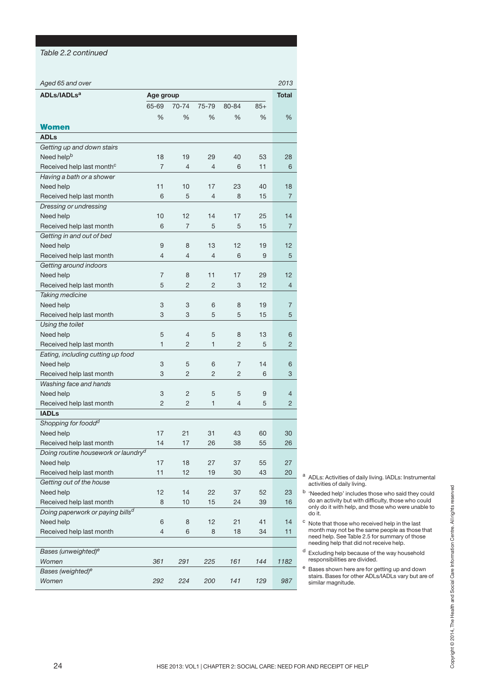#### *Table 2.2 continued*

| Aged 65 and over                                                         |                |                |                |                |            | 2013           |                                                                                                                                       |
|--------------------------------------------------------------------------|----------------|----------------|----------------|----------------|------------|----------------|---------------------------------------------------------------------------------------------------------------------------------------|
| ADLs/IADLs <sup>a</sup>                                                  | Age group      |                |                |                |            | <b>Total</b>   |                                                                                                                                       |
|                                                                          | 65-69          | 70-74          | 75-79          | 80-84          | $85+$      |                |                                                                                                                                       |
|                                                                          | %              | %              | %              | %              | %          | $\%$           |                                                                                                                                       |
| <b>Women</b>                                                             |                |                |                |                |            |                |                                                                                                                                       |
| <b>ADLs</b>                                                              |                |                |                |                |            |                |                                                                                                                                       |
| Getting up and down stairs                                               |                |                |                |                |            |                |                                                                                                                                       |
| Need help <sup>b</sup>                                                   | 18             | 19             | 29             | 40             | 53         | 28             |                                                                                                                                       |
| Received help last month <sup>c</sup>                                    | $\overline{7}$ | $\overline{4}$ | 4              | 6              | 11         | 6              |                                                                                                                                       |
| Having a bath or a shower                                                |                |                |                |                |            |                |                                                                                                                                       |
| Need help                                                                | 11             | 10             | 17             | 23             | 40         | 18             |                                                                                                                                       |
| Received help last month                                                 | 6              | 5              | 4              | 8              | 15         | $\overline{7}$ |                                                                                                                                       |
| Dressing or undressing                                                   |                |                |                |                |            |                |                                                                                                                                       |
| Need help                                                                | 10             | 12             | 14             | 17             | 25         | 14             |                                                                                                                                       |
| Received help last month                                                 | 6              | $\overline{7}$ | 5              | 5              | 15         | $\overline{7}$ |                                                                                                                                       |
| Getting in and out of bed                                                |                |                |                |                |            |                |                                                                                                                                       |
| Need help                                                                | 9              | 8              | 13             | 12             | 19         | 12             |                                                                                                                                       |
| Received help last month                                                 | 4              | $\overline{4}$ | 4              | 6              | $9$        | $\sqrt{5}$     |                                                                                                                                       |
| Getting around indoors                                                   |                |                |                |                |            |                |                                                                                                                                       |
| Need help                                                                | $\overline{7}$ | 8              | 11             | 17             | 29         | 12             |                                                                                                                                       |
| Received help last month                                                 | 5              | $\overline{2}$ | $\overline{2}$ | 3              | 12         | $\overline{4}$ |                                                                                                                                       |
| Taking medicine                                                          |                |                |                |                |            |                |                                                                                                                                       |
| Need help                                                                | 3              | 3              | 6              | 8              | 19         | $\overline{7}$ |                                                                                                                                       |
| Received help last month                                                 | 3              | 3              | 5              | 5              | 15         | 5              |                                                                                                                                       |
| Using the toilet                                                         |                |                |                |                |            |                |                                                                                                                                       |
| Need help                                                                | 5              | $\overline{4}$ | 5              | 8              | 13         | 6              |                                                                                                                                       |
| Received help last month                                                 | $\mathbf{1}$   | $\overline{c}$ | 1              | $\overline{c}$ | 5          | 2              |                                                                                                                                       |
| Eating, including cutting up food                                        |                |                |                |                |            |                |                                                                                                                                       |
| Need help                                                                | 3              | 5              | 6              | 7              | 14         | 6              |                                                                                                                                       |
| Received help last month                                                 | 3              | $\overline{2}$ | 2              | $\overline{c}$ | 6          | 3              |                                                                                                                                       |
| Washing face and hands                                                   |                |                |                |                |            |                |                                                                                                                                       |
| Need help                                                                | 3              | $\overline{c}$ | 5              | 5              | 9          | $\overline{4}$ |                                                                                                                                       |
| Received help last month                                                 | $\overline{c}$ | $\overline{2}$ | 1              | 4              | 5          | $\overline{c}$ |                                                                                                                                       |
| <b>IADLs</b>                                                             |                |                |                |                |            |                |                                                                                                                                       |
| Shopping for foodd <sup>d</sup>                                          |                |                |                |                |            |                |                                                                                                                                       |
| Need help                                                                | 17             | 21             | 31             | 43             | 60         | 30             |                                                                                                                                       |
| Received help last month                                                 | 14             | $17$           | 26             | 38             | 55         | 26             |                                                                                                                                       |
| Doing routine housework or laundry <sup>d</sup>                          |                |                |                |                |            |                |                                                                                                                                       |
| Need help                                                                | 17             | 18             | 27             | 37             | 55         | 27             |                                                                                                                                       |
| Received help last month                                                 | 11             | 12             | 19             | 30             | 43         | 20             | a ADLs: Activities of daily living. IADLs: Instrumental                                                                               |
| Getting out of the house                                                 |                |                |                |                |            |                | activities of daily living.                                                                                                           |
| Need help                                                                | 12             | 14             | 22<br>15       | 37             | 52         | 23             | b<br>'Needed help' includes those who said they could<br>do an activity but with difficulty, those who could                          |
| Received help last month<br>Doing paperwork or paying bills <sup>d</sup> | 8              | 10             |                | 24             | 39         | 16             | only do it with help, and those who were unable to                                                                                    |
| Need help                                                                | 6              | 8              | 12             | 21             | 41         | 14             | do it.<br>C                                                                                                                           |
| Received help last month                                                 | $\overline{4}$ | 6              | 8              | 18             | 34         | 11             | Note that those who received help in the last<br>month may not be the same people as those that                                       |
|                                                                          |                |                |                |                |            |                | Copyright © 2014. The Health and Social Care Information Centre. All rights reserved<br>need help. See Table 2.5 for summary of those |
| Bases (unweighted) <sup>e</sup>                                          |                |                |                |                |            |                | needing help that did not receive help.<br>d<br>Excluding help because of the way household                                           |
|                                                                          |                |                |                |                |            |                | responsibilities are divided.                                                                                                         |
|                                                                          |                |                |                |                |            |                | e<br>Bases shown here are for getting up and down                                                                                     |
|                                                                          |                |                |                |                |            |                | stairs. Bases for other ADLs/IADLs vary but are of                                                                                    |
| Women<br>Bases (weighted) <sup>e</sup><br>Women                          | 361<br>292     | 291<br>224     | 225<br>200     | 161<br>141     | 144<br>129 | 1182<br>987    | similar magnitude.                                                                                                                    |
| 24                                                                       |                |                |                |                |            |                | HSE 2013: VOL1   CHAPTER 2: SOCIAL CARE: NEED FOR AND RECEIPT OF HELP                                                                 |

- <sup>a</sup> ADLs: Activities of daily living. IADLs: Instrumental activities of daily living.
- b 'Needed help' includes those who said they could do an activity but with difficulty, those who could only do it with help, and those who were unable to do it.
- <sup>c</sup> Note that those who received help in the last month may not be the same people as those that need help. See Table 2.5 for summary of those needing help that did not receive help.
- <sup>d</sup> Excluding help because of the way household responsibilities are divided.
- <sup>e</sup> Bases shown here are for getting up and down stairs. Bases for other ADLs/IADLs vary but are of similar magnitude.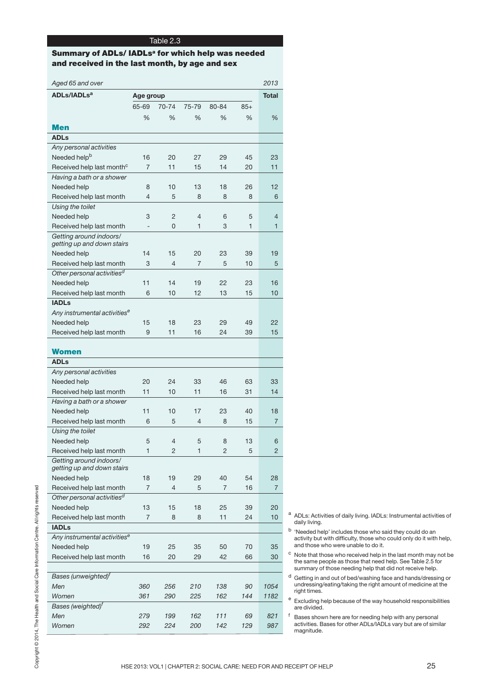## **Summary of ADLs/ IADLsa for which help was needed and received in the last month, by age and sex**

|                                                       | Age group      |                |                |                |              | <b>Total</b>   |                                                                                                                        |
|-------------------------------------------------------|----------------|----------------|----------------|----------------|--------------|----------------|------------------------------------------------------------------------------------------------------------------------|
|                                                       | 65-69          | 70-74          | 75-79          | 80-84          | $85+$        |                |                                                                                                                        |
|                                                       | $\%$           | %              | $\%$           | %              | %            | $\%$           |                                                                                                                        |
| <b>Men</b>                                            |                |                |                |                |              |                |                                                                                                                        |
| <b>ADLs</b>                                           |                |                |                |                |              |                |                                                                                                                        |
| Any personal activities                               |                |                |                |                |              |                |                                                                                                                        |
| Needed help <sup>b</sup>                              | 16             | 20             | 27             | 29             | 45           | 23             |                                                                                                                        |
| Received help last month <sup>c</sup>                 | $\overline{7}$ | 11             | 15             | 14             | 20           | 11             |                                                                                                                        |
| Having a bath or a shower                             |                |                |                |                |              |                |                                                                                                                        |
| Needed help                                           | 8              | 10             | 13             | 18             | 26           | 12             |                                                                                                                        |
| Received help last month                              | $\overline{4}$ | 5              | 8              | 8              | 8            | 6              |                                                                                                                        |
| Using the toilet                                      |                |                |                |                |              |                |                                                                                                                        |
| Needed help                                           | 3              | $\overline{c}$ | 4              | 6              | $\sqrt{5}$   | $\overline{4}$ |                                                                                                                        |
| Received help last month                              | $\blacksquare$ | 0              | 1              | 3              | $\mathbf{1}$ | 1              |                                                                                                                        |
| Getting around indoors/<br>getting up and down stairs |                |                |                |                |              |                |                                                                                                                        |
| Needed help                                           | 14             | 15             | 20             | 23             | 39           | 19             |                                                                                                                        |
| Received help last month                              | 3              | $\overline{4}$ | $\overline{7}$ | 5              | 10           | 5              |                                                                                                                        |
| Other personal activities <sup>d</sup>                |                |                |                |                |              |                |                                                                                                                        |
| Needed help                                           | 11             | 14             | 19             | 22             | 23           | 16             |                                                                                                                        |
| Received help last month                              | 6              | 10             | 12             | 13             | 15           | $10$           |                                                                                                                        |
| <b>IADLs</b>                                          |                |                |                |                |              |                |                                                                                                                        |
| Any instrumental activities <sup>e</sup>              |                |                |                |                |              |                |                                                                                                                        |
| Needed help                                           | 15             | 18             | 23             | 29             | 49           | 22             |                                                                                                                        |
| Received help last month                              | 9              | 11             | 16             | 24             | 39           | 15             |                                                                                                                        |
|                                                       |                |                |                |                |              |                |                                                                                                                        |
| <b>Women</b>                                          |                |                |                |                |              |                |                                                                                                                        |
| <b>ADLs</b>                                           |                |                |                |                |              |                |                                                                                                                        |
| Any personal activities                               |                |                |                |                |              |                |                                                                                                                        |
| Needed help                                           | 20             | 24             | 33             | 46             | 63           | 33             |                                                                                                                        |
| Received help last month                              | 11             | 10             | 11             | 16             | 31           | 14             |                                                                                                                        |
| Having a bath or a shower                             |                |                |                |                |              |                |                                                                                                                        |
| Needed help                                           | 11             | 10             | 17             | 23             | 40           | 18             |                                                                                                                        |
| Received help last month                              | 6              | 5              | 4              | 8              | 15           | $\overline{7}$ |                                                                                                                        |
| Using the toilet                                      |                |                |                |                |              |                |                                                                                                                        |
| Needed help                                           | 5              | 4              | 5              | 8              | 13           | 6              |                                                                                                                        |
| Received help last month                              | 1              | $\overline{2}$ | $\mathbf 1$    | $\overline{c}$ | 5            | $\overline{2}$ |                                                                                                                        |
| Getting around indoors/<br>getting up and down stairs |                |                |                |                |              |                |                                                                                                                        |
| Needed help                                           | 18             | 19             | 29             | 40             | 54           | 28             |                                                                                                                        |
| Received help last month                              | $\overline{7}$ | $\overline{4}$ | 5              | $\overline{7}$ | 16           | $\overline{7}$ |                                                                                                                        |
| Other personal activities <sup>d</sup>                |                |                |                |                |              |                |                                                                                                                        |
| Needed help                                           | 13             | 15             | 18             | 25             | 39           | 20             |                                                                                                                        |
| Received help last month                              | $\overline{7}$ | 8              | 8              | 11             | 24           | 10             | <sup>a</sup> ADLs: Activities of daily living. IADLs: Instrumental activ<br>daily living.                              |
| <b>IADLs</b>                                          |                |                |                |                |              |                | <sup>b</sup> 'Needed help' includes those who said they could do an                                                    |
| Any instrumental activities <sup>e</sup>              |                |                |                |                |              |                | activity but with difficulty, those who could only do it wit                                                           |
| Needed help                                           | 19             | 25             | 35             | 50             | 70           | 35             | and those who were unable to do it.<br>C                                                                               |
| Received help last month                              | 16             | 20             | 29             | 42             | 66           | 30             | Note that those who received help in the last month may<br>the same people as those that need help. See Table 2.5      |
|                                                       |                |                |                |                |              |                | summary of those needing help that did not receive help                                                                |
| Bases (unweighted) <sup>f</sup>                       |                |                |                |                |              |                | d<br>Getting in and out of bed/washing face and hands/dress<br>undressing/eating/taking the right amount of medicine a |
| Men                                                   | 360            | 256            | 210            | 138            | 90           | 1054           | right times.                                                                                                           |
| Women                                                 | 361            | 290            | 225            | 162            | 144          | 1182           | е<br>Excluding help because of the way household responsil                                                             |
| Bases (weighted) <sup>f</sup>                         |                |                |                |                |              |                | are divided.                                                                                                           |
|                                                       | 279            | 199            | 162            | 111            | 69           | 821            | Ť<br>Bases shown here are for needing help with any persona                                                            |
| Men<br>Women                                          | 292            | 224            | 200            | 142            | 129          | 987            | activities. Bases for other ADLs/IADLs vary but are of sir                                                             |

- <sup>a</sup> ADLs: Activities of daily living. IADLs: Instrumental activities of daily living.
- b 'Needed help' includes those who said they could do an activity but with difficulty, those who could only do it with help, and those who were unable to do it.
- $\rm ^c$  Note that those who received help in the last month may not be the same people as those that need help. See Table 2.5 for summary of those needing help that did not receive help.
- d Getting in and out of bed/washing face and hands/dressing or undressing/eating/taking the right amount of medicine at the right times.
- e Excluding help because of the way household responsibilities are divided.
- f Bases shown here are for needing help with any personal activities. Bases for other ADLs/IADLs vary but are of similar magnitude.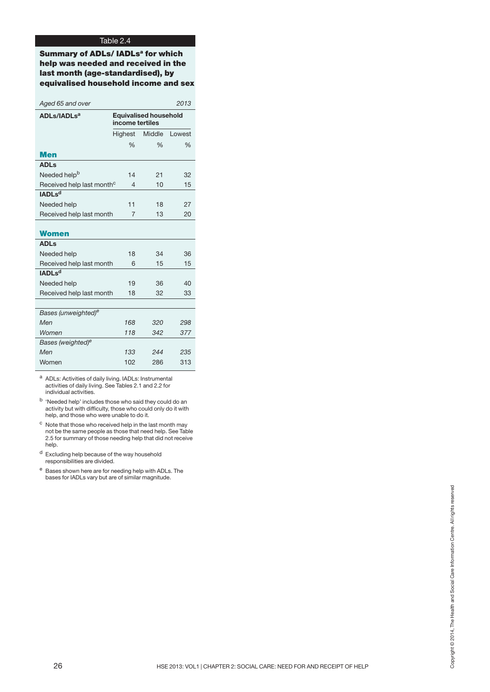**Summary of ADLs/ IADLsa for which help was needed and received in the last month (age-standardised), by equivalised household income and sex**

|                                                         |                  | 2013                                            |
|---------------------------------------------------------|------------------|-------------------------------------------------|
|                                                         |                  |                                                 |
| Highest                                                 | Middle           | Lowest                                          |
| $\%$                                                    | $\frac{0}{0}$    | $\frac{0}{0}$                                   |
|                                                         |                  |                                                 |
|                                                         |                  |                                                 |
| 14                                                      | 21               | 32                                              |
| Received help last month <sup>c</sup><br>$\overline{4}$ | 10               | 15                                              |
|                                                         |                  |                                                 |
| 11                                                      | 18               | 27                                              |
| Received help last month<br>$\overline{7}$              | 13               | 20                                              |
|                                                         |                  |                                                 |
|                                                         |                  |                                                 |
|                                                         |                  |                                                 |
|                                                         | 34               | 36                                              |
| Received help last month<br>6                           | 15               | 15                                              |
|                                                         |                  |                                                 |
| 19                                                      | 36               | 40                                              |
| Received help last month<br>18                          | 32               | 33                                              |
|                                                         |                  |                                                 |
|                                                         |                  |                                                 |
|                                                         | 320              | 298                                             |
|                                                         | 342              | 377                                             |
|                                                         |                  |                                                 |
| 133                                                     | 244              | 235                                             |
| 102                                                     | 286              | 313                                             |
|                                                         | 18<br>168<br>118 | <b>Equivalised household</b><br>income tertiles |

a ADLs: Activities of daily living. IADLs: Instrumental activities of daily living. See Tables 2.1 and 2.2 for individual activities.

<sup>b</sup> 'Needed help' includes those who said they could do an activity but with difficulty, those who could only do it with help, and those who were unable to do it.

- <sup>c</sup> Note that those who received help in the last month may not be the same people as those that need help. See Table 2.5 for summary of those needing help that did not receive help.
- <sup>d</sup> Excluding help because of the way household responsibilities are divided.
- <sup>e</sup> Bases shown here are for needing help with ADLs. The bases for IADLs vary but are of similar magnitude.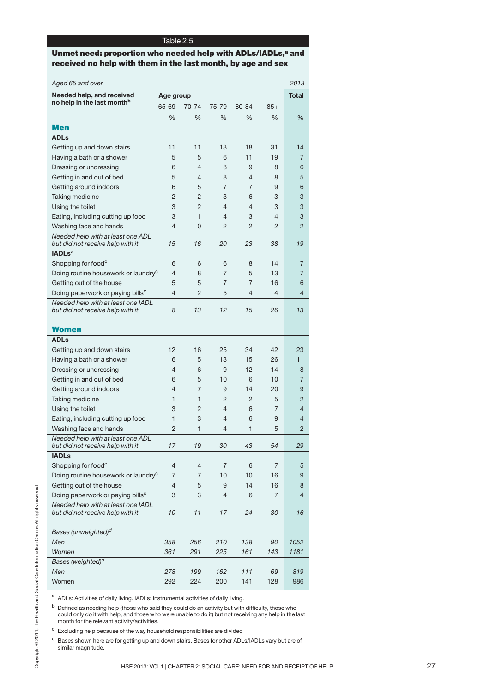## **Unmet need: proportion who needed help with ADLs/IADLs,<sup>a</sup> and received no help with them in the last month, by age and sex**

| no help in the last month <sup>b</sup>                                 | Age group      |                |                |                |                | <b>Total</b>   |
|------------------------------------------------------------------------|----------------|----------------|----------------|----------------|----------------|----------------|
|                                                                        | 65-69          | 70-74          | 75-79          | 80-84          | $85+$          |                |
|                                                                        | %              | $\%$           | %              | %              | %              | %              |
| <b>Men</b>                                                             |                |                |                |                |                |                |
| <b>ADLs</b>                                                            |                |                |                |                |                |                |
| Getting up and down stairs                                             | 11             | 11             | 13             | 18             | 31             | 14             |
| Having a bath or a shower                                              | 5              | 5              | 6              | 11             | 19             | $\overline{7}$ |
| Dressing or undressing                                                 | 6              | 4              | 8              | 9              | 8              | 6              |
| Getting in and out of bed                                              | 5              | 4              | 8              | $\overline{4}$ | 8              | 5              |
| Getting around indoors                                                 | 6              | 5              | $\overline{7}$ | $\overline{7}$ | 9              | 6              |
| Taking medicine                                                        | $\overline{c}$ | $\overline{c}$ | 3              | 6              | 3              | 3              |
| Using the toilet                                                       | 3              | $\overline{2}$ | $\overline{4}$ | $\overline{4}$ | 3              | 3              |
| Eating, including cutting up food                                      | 3              | $\mathbf{1}$   | $\overline{4}$ | 3              | $\overline{4}$ | 3              |
| Washing face and hands                                                 | $\overline{4}$ | 0              | $\overline{c}$ | $\overline{2}$ | 2              | $\overline{2}$ |
| Needed help with at least one ADL<br>but did not receive help with it  | 15             | 16             | 20             | 23             | 38             | 19             |
| <b>IADLs</b> <sup>a</sup>                                              |                |                |                |                |                |                |
| Shopping for food <sup>c</sup>                                         | 6              | 6              | 6              | 8              | 14             | $\overline{7}$ |
| Doing routine housework or laundry <sup>c</sup>                        | $\overline{4}$ | 8              | $\overline{7}$ | 5              | 13             | $\overline{7}$ |
| Getting out of the house                                               | 5              | 5              | $\overline{7}$ | $\overline{7}$ | 16             | 6              |
| Doing paperwork or paying bills <sup>c</sup>                           | $\overline{4}$ | $\overline{c}$ | 5              | $\overline{4}$ | 4              | $\overline{4}$ |
| Needed help with at least one IADL<br>but did not receive help with it | 8              | 13             | 12             | 15             | 26             | 13             |
|                                                                        |                |                |                |                |                |                |
| <b>Women</b>                                                           |                |                |                |                |                |                |
| <b>ADLs</b>                                                            |                |                |                |                |                |                |
| Getting up and down stairs                                             | 12             | 16             | 25             | 34             | 42             | 23             |
| Having a bath or a shower                                              | 6              | 5              | 13             | 15             | 26             | 11             |
| Dressing or undressing                                                 | $\overline{4}$ | 6              | 9              | 12             | 14             | 8              |
| Getting in and out of bed                                              | 6              | 5              | 10             | 6              | 10             | 7              |
| Getting around indoors                                                 | 4              | $\overline{7}$ | 9              | 14             | 20             | 9              |
| Taking medicine                                                        | $\mathbf{1}$   | $\mathbf{1}$   | 2              | $\overline{2}$ | 5              | $\overline{c}$ |
| Using the toilet                                                       | 3              | $\overline{c}$ | $\overline{4}$ | 6              | $\overline{7}$ | $\overline{4}$ |
| Eating, including cutting up food                                      | $\mathbf{1}$   | 3              | $\overline{4}$ | 6              | 9              | $\overline{4}$ |
| Washing face and hands                                                 | $\overline{c}$ | 1              | $\overline{4}$ | $\mathbf{1}$   | 5              | $\overline{c}$ |
| Needed help with at least one ADL<br>but did not receive help with it  | $17$           | 19             | 30             | 43             | 54             | 29             |
| <b>IADLs</b>                                                           |                |                |                |                |                |                |
|                                                                        | $\overline{4}$ | 4              | $\overline{7}$ | 6              | $\overline{7}$ | 5              |
| Shopping for food <sup>c</sup>                                         | $\overline{7}$ | $\overline{7}$ | 10             | 10             | 16             | 9              |
| Doing routine housework or laundry <sup>c</sup>                        |                |                |                |                |                |                |
| Getting out of the house                                               | $\overline{4}$ | 5              | 9              | 14             | 16             | 8              |
| Doing paperwork or paying bills <sup>c</sup>                           | 3              | 3              | $\overline{4}$ | 6              | $\overline{7}$ | 4              |
| Needed help with at least one IADL<br>but did not receive help with it | 10             | 11             | 17             | 24             | 30             | 16             |
|                                                                        |                |                |                |                |                |                |
| Bases (unweighted) <sup>d</sup>                                        |                |                |                |                |                |                |
| Men                                                                    | 358            | 256            | 210            | 138            | 90             | 1052           |
| Women                                                                  | 361            | 291            | 225            | 161            | 143            | 1181           |
| Bases (weighted) <sup>d</sup><br>Men                                   | 278            | 199            | 162            | 111            | 69             | 819            |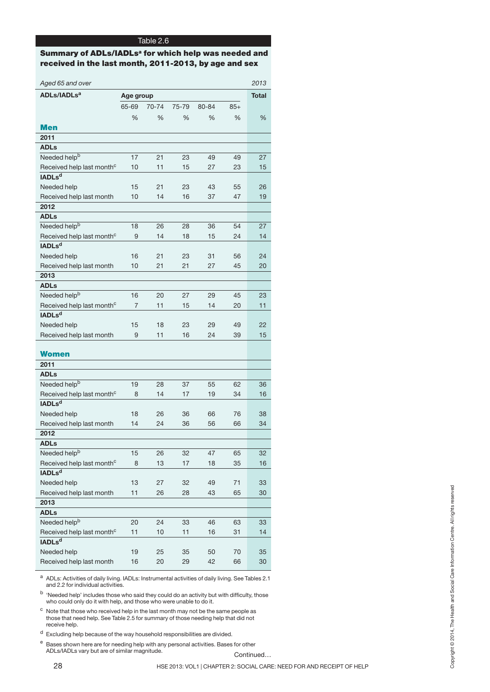## **Summary of ADLs/IADLsa for which help was needed and received in the last month, 2011-2013, by age and sex**

| Aged 65 and over                                                                                                                                                                              |                |       |       |                                                                       |       | 2013         |
|-----------------------------------------------------------------------------------------------------------------------------------------------------------------------------------------------|----------------|-------|-------|-----------------------------------------------------------------------|-------|--------------|
| ADLs/IADLs <sup>a</sup>                                                                                                                                                                       | Age group      |       |       |                                                                       |       | <b>Total</b> |
|                                                                                                                                                                                               | 65-69          | 70-74 | 75-79 | 80-84                                                                 | $85+$ |              |
|                                                                                                                                                                                               | $\%$           | $\%$  | $\%$  | $\%$                                                                  | %     | $\%$         |
| <b>Men</b>                                                                                                                                                                                    |                |       |       |                                                                       |       |              |
| 2011                                                                                                                                                                                          |                |       |       |                                                                       |       |              |
| <b>ADLs</b>                                                                                                                                                                                   |                |       |       |                                                                       |       |              |
| Needed help <sup>b</sup>                                                                                                                                                                      | 17             | 21    | 23    | 49                                                                    | 49    | 27           |
| Received help last month <sup>c</sup>                                                                                                                                                         | 10             | 11    | 15    | 27                                                                    | 23    | 15           |
| <b>IADLsd</b>                                                                                                                                                                                 |                |       |       |                                                                       |       |              |
| Needed help                                                                                                                                                                                   | 15             | 21    | 23    | 43                                                                    | 55    | 26           |
| Received help last month                                                                                                                                                                      | 10             | 14    | 16    | 37                                                                    | 47    | 19           |
| 2012                                                                                                                                                                                          |                |       |       |                                                                       |       |              |
| <b>ADLs</b>                                                                                                                                                                                   |                |       |       |                                                                       |       |              |
| Needed help <sup>b</sup>                                                                                                                                                                      | 18             | 26    | 28    | 36                                                                    | 54    | 27           |
| Received help last month <sup>c</sup>                                                                                                                                                         | $9\,$          | 14    | 18    | 15                                                                    | 24    | 14           |
| <b>IADLsd</b>                                                                                                                                                                                 |                |       |       |                                                                       |       |              |
| Needed help                                                                                                                                                                                   | 16             | 21    | 23    | 31                                                                    | 56    | 24           |
| Received help last month                                                                                                                                                                      | 10             | 21    | 21    | 27                                                                    | 45    | 20           |
| 2013                                                                                                                                                                                          |                |       |       |                                                                       |       |              |
| <b>ADLs</b>                                                                                                                                                                                   |                |       |       |                                                                       |       |              |
| Needed help <sup>b</sup>                                                                                                                                                                      | 16             | 20    | 27    | 29                                                                    | 45    | 23           |
| Received help last month <sup>c</sup>                                                                                                                                                         | $\overline{7}$ | 11    | 15    | 14                                                                    | 20    | 11           |
| <b>IADLsd</b>                                                                                                                                                                                 |                |       |       |                                                                       |       |              |
| Needed help                                                                                                                                                                                   | 15             | 18    | 23    | 29                                                                    | 49    | 22           |
| Received help last month                                                                                                                                                                      | $9\,$          | 11    | 16    | 24                                                                    | 39    | 15           |
|                                                                                                                                                                                               |                |       |       |                                                                       |       |              |
| <b>Women</b>                                                                                                                                                                                  |                |       |       |                                                                       |       |              |
| 2011                                                                                                                                                                                          |                |       |       |                                                                       |       |              |
| <b>ADLs</b>                                                                                                                                                                                   |                |       |       |                                                                       |       |              |
| Needed help <sup>b</sup>                                                                                                                                                                      | 19             | 28    | 37    | 55                                                                    | 62    | 36           |
| Received help last month <sup>c</sup>                                                                                                                                                         | 8              | 14    | 17    | 19                                                                    | 34    | 16           |
| <b>IADLsd</b>                                                                                                                                                                                 |                |       |       |                                                                       |       |              |
| Needed help                                                                                                                                                                                   | 18             | 26    | 36    | 66                                                                    | 76    | 38           |
| Received help last month                                                                                                                                                                      | 14             | 24    | 36    | 56                                                                    | 66    | 34           |
| 2012                                                                                                                                                                                          |                |       |       |                                                                       |       |              |
| <b>ADLs</b>                                                                                                                                                                                   |                |       |       |                                                                       |       |              |
| Needed help <sup>b</sup>                                                                                                                                                                      | 15             | 26    | 32    | 47                                                                    | 65    | 32           |
| Received help last month <sup>c</sup>                                                                                                                                                         | 8              | 13    | 17    | 18                                                                    | 35    | 16           |
| <b>IADLsd</b>                                                                                                                                                                                 |                |       |       |                                                                       |       |              |
| Needed help                                                                                                                                                                                   | 13             | 27    | 32    | 49                                                                    | 71    | 33           |
| Received help last month                                                                                                                                                                      | 11             | 26    | 28    | 43                                                                    | 65    | 30           |
| 2013                                                                                                                                                                                          |                |       |       |                                                                       |       |              |
| <b>ADLs</b>                                                                                                                                                                                   |                |       |       |                                                                       |       |              |
| Needed help <sup>b</sup>                                                                                                                                                                      | 20             | 24    | 33    | 46                                                                    | 63    | 33           |
| Received help last month <sup>c</sup>                                                                                                                                                         | 11             | 10    | 11    | 16                                                                    | 31    | 14           |
| IADL <sub>s<sup>d</sup></sub>                                                                                                                                                                 |                |       |       |                                                                       |       |              |
| Needed help                                                                                                                                                                                   | 19             | 25    | 35    | 50                                                                    | 70    | 35           |
| Received help last month                                                                                                                                                                      | 16             | 20    | 29    | 42                                                                    | 66    | 30           |
| a ADLs: Activities of daily living. IADLs: Instrumental activities of daily living. See Tables 2.1<br>and 2.2 for individual activities.                                                      |                |       |       |                                                                       |       |              |
| <sup>b</sup> 'Needed help' includes those who said they could do an activity but with difficulty, those<br>who could only do it with help, and those who were unable to do it.                |                |       |       |                                                                       |       |              |
| с<br>Note that those who received help in the last month may not be the same people as<br>those that need help. See Table 2.5 for summary of those needing help that did not<br>receive help. |                |       |       |                                                                       |       |              |
| d<br>Excluding help because of the way household responsibilities are divided.                                                                                                                |                |       |       |                                                                       |       |              |
| e<br>Bases shown here are for needing help with any personal activities. Bases for other                                                                                                      |                |       |       |                                                                       |       |              |
| ADLs/IADLs vary but are of similar magnitude.                                                                                                                                                 |                |       |       |                                                                       |       | Continued    |
| 28                                                                                                                                                                                            |                |       |       | HSE 2013: VOL1   CHAPTER 2: SOCIAL CARE: NEED FOR AND RECEIPT OF HELP |       |              |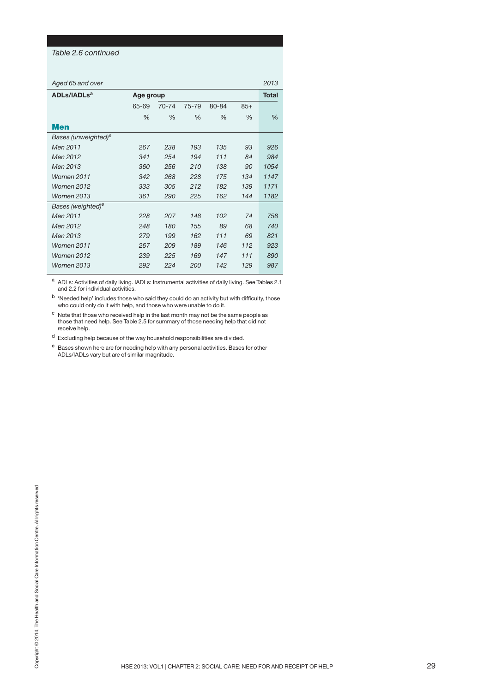#### *Table 2.6 continued*

| Aged 65 and over |  |  |  |
|------------------|--|--|--|
|------------------|--|--|--|

| Aged 65 and over                |           |       |       |       |       | 2013         |
|---------------------------------|-----------|-------|-------|-------|-------|--------------|
| ADLs/IADLs <sup>a</sup>         | Age group |       |       |       |       | <b>Total</b> |
|                                 | 65-69     | 70-74 | 75-79 | 80-84 | $85+$ |              |
|                                 | $\%$      | %     | %     | %     | %     | %            |
| Men                             |           |       |       |       |       |              |
| Bases (unweighted) <sup>e</sup> |           |       |       |       |       |              |
| Men 2011                        | 267       | 238   | 193   | 135   | 93    | 926          |
| Men 2012                        | 341       | 254   | 194   | 111   | 84    | 984          |
| Men 2013                        | 360       | 256   | 210   | 138   | 90    | 1054         |
| Women 2011                      | 342       | 268   | 228   | 175   | 134   | 1147         |
| <b>Women 2012</b>               | 333       | 305   | 212   | 182   | 139   | 1171         |
| <b>Women 2013</b>               | 361       | 290   | 225   | 162   | 144   | 1182         |
| Bases (weighted) <sup>e</sup>   |           |       |       |       |       |              |
| Men 2011                        | 228       | 207   | 148   | 102   | 74    | 758          |
| Men 2012                        | 248       | 180   | 155   | 89    | 68    | 740          |
| Men 2013                        | 279       | 199   | 162   | 111   | 69    | 821          |
| <b>Women 2011</b>               | 267       | 209   | 189   | 146   | 112   | 923          |
| <b>Women 2012</b>               | 239       | 225   | 169   | 147   | 111   | 890          |
| Women 2013                      | 292       | 224   | 200   | 142   | 129   | 987          |
|                                 |           |       |       |       |       |              |

<sup>a</sup> ADLs: Activities of daily living. IADLs: Instrumental activities of daily living. See Tables 2.1 and 2.2 for individual activities.

<sup>b</sup> 'Needed help' includes those who said they could do an activity but with difficulty, those who could only do it with help, and those who were unable to do it.

 $\mathrm{^{c}}\,$  Note that those who received help in the last month may not be the same people as those that need help. See Table 2.5 for summary of those needing help that did not receive help.

 $\rm ^d$  Excluding help because of the way household responsibilities are divided.

<sup>e</sup> Bases shown here are for needing help with any personal activities. Bases for other ADLs/IADLs vary but are of similar magnitude.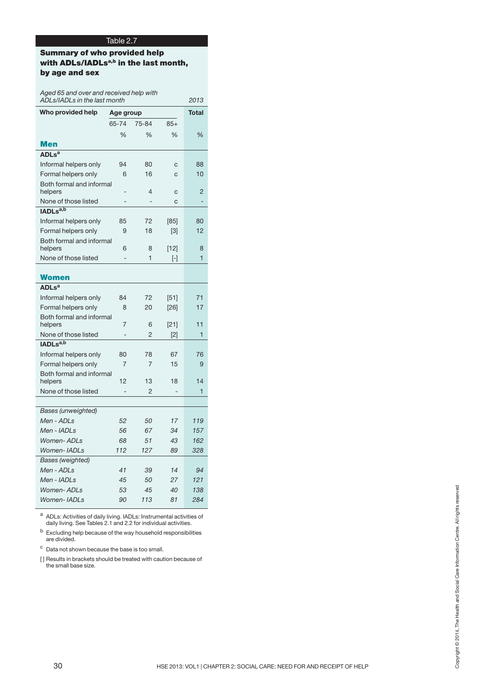## **Summary of who provided help with ADLs/IADLsa,b in the last month, by age and sex**

| Aged 65 and over and received help with<br>ADLs/IADLs in the last month                                                                                                                                                                                                                                                                                                                         |                          |                              |                                                                       | 2013                     |
|-------------------------------------------------------------------------------------------------------------------------------------------------------------------------------------------------------------------------------------------------------------------------------------------------------------------------------------------------------------------------------------------------|--------------------------|------------------------------|-----------------------------------------------------------------------|--------------------------|
| Who provided help                                                                                                                                                                                                                                                                                                                                                                               | Age group                |                              |                                                                       | <b>Total</b>             |
|                                                                                                                                                                                                                                                                                                                                                                                                 | 65-74                    | 75-84                        | $85+$                                                                 |                          |
|                                                                                                                                                                                                                                                                                                                                                                                                 | $\%$                     | $\%$                         | $\%$                                                                  | $\%$                     |
| <b>Men</b>                                                                                                                                                                                                                                                                                                                                                                                      |                          |                              |                                                                       |                          |
| <b>ADLs<sup>a</sup></b>                                                                                                                                                                                                                                                                                                                                                                         |                          |                              |                                                                       |                          |
| Informal helpers only                                                                                                                                                                                                                                                                                                                                                                           | 94                       | 80                           | $\mathbf C$                                                           | 88                       |
| Formal helpers only                                                                                                                                                                                                                                                                                                                                                                             | 6                        | 16                           | ${\bf C}$                                                             | 10                       |
| Both formal and informal                                                                                                                                                                                                                                                                                                                                                                        |                          |                              |                                                                       |                          |
| helpers                                                                                                                                                                                                                                                                                                                                                                                         | $\overline{a}$           | 4                            | ${\bf C}$                                                             | $\overline{c}$           |
| None of those listed<br>IADLs <sup>a,b</sup>                                                                                                                                                                                                                                                                                                                                                    | $\overline{a}$           | $\qquad \qquad \blacksquare$ | $\mathbf C$                                                           | $\overline{\phantom{a}}$ |
| Informal helpers only                                                                                                                                                                                                                                                                                                                                                                           | 85                       | 72                           | $[85]$                                                                | 80                       |
| Formal helpers only                                                                                                                                                                                                                                                                                                                                                                             | $9\,$                    | 18                           | $[3]$                                                                 | 12                       |
| Both formal and informal                                                                                                                                                                                                                                                                                                                                                                        |                          |                              |                                                                       |                          |
| helpers                                                                                                                                                                                                                                                                                                                                                                                         | 6                        | 8                            | $[12]$                                                                | 8                        |
| None of those listed                                                                                                                                                                                                                                                                                                                                                                            | $\overline{\phantom{m}}$ | 1                            | $[\hbox{-}]$                                                          | $\mathbf{1}$             |
|                                                                                                                                                                                                                                                                                                                                                                                                 |                          |                              |                                                                       |                          |
| <b>Women</b>                                                                                                                                                                                                                                                                                                                                                                                    |                          |                              |                                                                       |                          |
| <b>ADLs<sup>a</sup></b>                                                                                                                                                                                                                                                                                                                                                                         |                          |                              |                                                                       |                          |
| Informal helpers only                                                                                                                                                                                                                                                                                                                                                                           | 84                       | 72                           | $[51]$                                                                | 71                       |
| Formal helpers only<br>Both formal and informal                                                                                                                                                                                                                                                                                                                                                 | 8                        | 20                           | $[26]$                                                                | 17                       |
| helpers                                                                                                                                                                                                                                                                                                                                                                                         | $\overline{7}$           | $6\,$                        | $[21]$                                                                | 11                       |
| None of those listed                                                                                                                                                                                                                                                                                                                                                                            | $\blacksquare$           | $\overline{c}$               | $[2]$                                                                 | $\mathbf{1}$             |
| IADLs <sup>a,b</sup>                                                                                                                                                                                                                                                                                                                                                                            |                          |                              |                                                                       |                          |
| Informal helpers only                                                                                                                                                                                                                                                                                                                                                                           | 80                       | 78                           | 67                                                                    | 76                       |
| Formal helpers only                                                                                                                                                                                                                                                                                                                                                                             | $\overline{7}$           | $\overline{7}$               | 15                                                                    | $9\,$                    |
| Both formal and informal                                                                                                                                                                                                                                                                                                                                                                        |                          |                              |                                                                       |                          |
| helpers                                                                                                                                                                                                                                                                                                                                                                                         | 12                       | 13                           | 18                                                                    | 14                       |
| None of those listed                                                                                                                                                                                                                                                                                                                                                                            | $\qquad \qquad -$        | $\overline{c}$               | $\overline{\phantom{a}}$                                              | $\mathbf{1}$             |
|                                                                                                                                                                                                                                                                                                                                                                                                 |                          |                              |                                                                       |                          |
| <b>Bases</b> (unweighted)                                                                                                                                                                                                                                                                                                                                                                       |                          |                              |                                                                       |                          |
| Men - ADLs                                                                                                                                                                                                                                                                                                                                                                                      | 52                       | 50                           | 17                                                                    | 119                      |
| Men - IADLs                                                                                                                                                                                                                                                                                                                                                                                     | 56                       | 67                           | 34                                                                    | 157                      |
| Women-ADLs                                                                                                                                                                                                                                                                                                                                                                                      | 68                       | 51                           | 43                                                                    | 162                      |
| Women-IADLs                                                                                                                                                                                                                                                                                                                                                                                     | 112                      | 127                          | 89                                                                    | 328                      |
| <b>Bases</b> (weighted)                                                                                                                                                                                                                                                                                                                                                                         |                          |                              |                                                                       |                          |
| Men - ADLs                                                                                                                                                                                                                                                                                                                                                                                      | 41                       | 39                           | 14                                                                    | 94                       |
| Men - IADLs                                                                                                                                                                                                                                                                                                                                                                                     | 45                       | 50                           | 27                                                                    | 121                      |
| Women-ADLs                                                                                                                                                                                                                                                                                                                                                                                      | 53                       | 45                           | 40                                                                    | 138                      |
| Women-IADLs                                                                                                                                                                                                                                                                                                                                                                                     | 90                       | 113                          | 81                                                                    | 284                      |
| a ADLs: Activities of daily living. IADLs: Instrumental activities of<br>daily living. See Tables 2.1 and 2.2 for individual activities.<br><sup>b</sup> Excluding help because of the way household responsibilities<br>are divided.<br><sup>c</sup> Data not shown because the base is too small.<br>[] Results in brackets should be treated with caution because of<br>the small base size. |                          |                              |                                                                       |                          |
|                                                                                                                                                                                                                                                                                                                                                                                                 |                          |                              |                                                                       |                          |
|                                                                                                                                                                                                                                                                                                                                                                                                 |                          |                              |                                                                       |                          |
|                                                                                                                                                                                                                                                                                                                                                                                                 |                          |                              |                                                                       |                          |
|                                                                                                                                                                                                                                                                                                                                                                                                 |                          |                              |                                                                       |                          |
|                                                                                                                                                                                                                                                                                                                                                                                                 |                          |                              |                                                                       |                          |
| 30                                                                                                                                                                                                                                                                                                                                                                                              |                          |                              | HSE 2013: VOL1   CHAPTER 2: SOCIAL CARE: NEED FOR AND RECEIPT OF HELP |                          |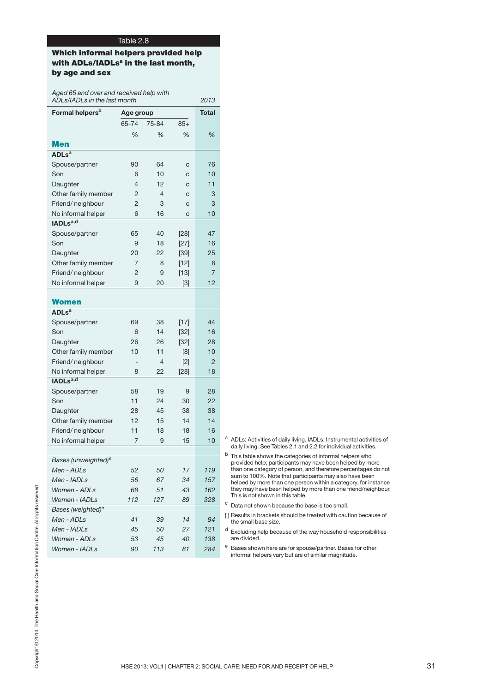## **Which informal helpers provided help with ADLs/IADLsa in the last month, by age and sex**

*Aged 65 and over and received help with ADLs/IADLs in the last month 2013*

|                                             | Age group                |                |                              | <b>Total</b>   |                                                                                                                                                     |
|---------------------------------------------|--------------------------|----------------|------------------------------|----------------|-----------------------------------------------------------------------------------------------------------------------------------------------------|
|                                             | 65-74                    | 75-84          | $85+$                        |                |                                                                                                                                                     |
|                                             | $\%$                     | %              | %                            | %              |                                                                                                                                                     |
| <b>Men</b><br><b>ADLs<sup>a</sup></b>       |                          |                |                              |                |                                                                                                                                                     |
|                                             |                          |                |                              |                |                                                                                                                                                     |
| Spouse/partner                              | 90                       | 64<br>10       | $\mathbf C$                  | 76             |                                                                                                                                                     |
| Son                                         | 6<br>4                   | 12             | $\mathbf C$                  | 10<br>11       |                                                                                                                                                     |
| Daughter<br>Other family member             | 2                        | $\overline{4}$ | $\mathsf{C}$<br>$\mathsf{C}$ | 3              |                                                                                                                                                     |
| Friend/neighbour                            | 2                        | 3              | $\mathsf{C}$                 | 3              |                                                                                                                                                     |
| No informal helper                          | 6                        | 16             | $\mathsf{C}$                 | 10             |                                                                                                                                                     |
| IADLsa,d                                    |                          |                |                              |                |                                                                                                                                                     |
| Spouse/partner                              | 65                       | 40             | $[28]$                       | 47             |                                                                                                                                                     |
| Son                                         | 9                        | 18             | $[27]$                       | 16             |                                                                                                                                                     |
| Daughter                                    | 20                       | 22             | $[39]$                       | 25             |                                                                                                                                                     |
| Other family member                         | 7                        | 8              | $[12]$                       | 8              |                                                                                                                                                     |
| Friend/neighbour                            | $\overline{c}$           | 9              | $[13]$                       | $\overline{7}$ |                                                                                                                                                     |
| No informal helper                          | $9\,$                    | 20             | $[3]$                        | 12             |                                                                                                                                                     |
|                                             |                          |                |                              |                |                                                                                                                                                     |
| <b>Women</b>                                |                          |                |                              |                |                                                                                                                                                     |
| <b>ADLs<sup>a</sup></b>                     |                          |                |                              |                |                                                                                                                                                     |
| Spouse/partner                              | 69                       | 38             | $[17]$                       | 44             |                                                                                                                                                     |
| Son                                         | 6                        | 14             | $[32]$                       | 16             |                                                                                                                                                     |
| Daughter                                    | 26                       | 26             | $[32]$                       | 28             |                                                                                                                                                     |
| Other family member                         | 10                       | 11             | [8]                          | 10             |                                                                                                                                                     |
| Friend/neighbour                            | $\overline{\phantom{a}}$ | $\overline{4}$ | $[2]$                        | $\overline{c}$ |                                                                                                                                                     |
| No informal helper                          | 8                        | 22             | $[28]$                       | 18             |                                                                                                                                                     |
| IADLsa,d                                    |                          |                |                              |                |                                                                                                                                                     |
| Spouse/partner                              | 58                       | 19             | 9                            | 28             |                                                                                                                                                     |
| Son                                         | 11                       | 24             | 30                           | 22             |                                                                                                                                                     |
| Daughter                                    | 28                       | 45             | 38                           | 38             |                                                                                                                                                     |
| Other family member                         | 12                       | 15             | 14                           | 14             |                                                                                                                                                     |
| Friend/neighbour                            | 11                       | 18             | 18                           | 16             |                                                                                                                                                     |
| No informal helper                          | $\overline{7}$           | 9              | 15                           | 10             | <sup>a</sup> ADLs: Activities of daily living. IADLs: Instrumental activities of<br>daily living. See Tables 2.1 and 2.2 for individual activities. |
|                                             |                          |                |                              |                | b<br>This table shows the categories of informal helpers who                                                                                        |
| Bases (unweighted) <sup>e</sup>             |                          |                |                              |                | provided help; participants may have been helped by more                                                                                            |
| Men - ADLs                                  | 52                       | 50             | 17                           | 119            | than one category of person, and therefore percentages do not<br>sum to 100%. Note that participants may also have been                             |
| Men - IADLs                                 | 56                       | 67             | 34                           | 157            | helped by more than one person within a category, for instance<br>they may have been helped by more than one friend/neighbour.                      |
| Women - ADLs                                | 68                       | 51             | 43                           | 162            | This is not shown in this table.                                                                                                                    |
| Women - IADLs                               | 112                      | 127            | 89                           | 328            | C<br>Data not shown because the base is too small.                                                                                                  |
| Bases (weighted) <sup>e</sup><br>Men - ADLs | 41                       | 39             | 14                           | 94             | [] Results in brackets should be treated with caution because of                                                                                    |
| Men - IADLs                                 | 45                       | 50             | 27                           | 121            | the small base size.<br>d                                                                                                                           |
| Women - ADLs                                | 53                       | 45             | 40                           | 138            | Excluding help because of the way household responsibilities<br>are divided.                                                                        |
|                                             | 90                       | 113            | 81                           | 284            | e<br>Bases shown here are for spouse/partner. Bases for other                                                                                       |
| Women - IADLs                               |                          |                |                              |                | informal helpers vary but are of similar magnitude.                                                                                                 |

- <sup>a</sup> ADLs: Activities of daily living. IADLs: Instrumental activities of daily living. See Tables 2.1 and 2.2 for individual activities.
- $<sup>b</sup>$  This table shows the categories of informal helpers who</sup> provided help; participants may have been helped by more than one category of person, and therefore percentages do not sum to 100%. Note that participants may also have been helped by more than one person within a category, for instance they may have been helped by more than one friend/neighbour. This is not shown in this table.
- <sup>c</sup> Data not shown because the base is too small.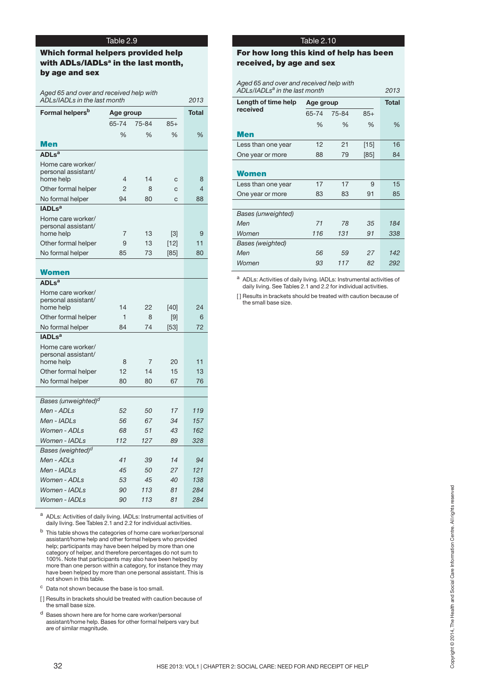## **Which formal helpers provided help with ADLs/IADLsa in the last month, by age and sex**

*Aged 65 and over and received help with ADLs/IADLs in the last month 2013*

| Formal helpers <sup>b</sup>      | Age group      | <b>Total</b> |               |                          |
|----------------------------------|----------------|--------------|---------------|--------------------------|
|                                  | 65-74          | 75-84        | $85+$         |                          |
|                                  | %              | $\%$         | $\frac{1}{2}$ | %                        |
| Men                              |                |              |               |                          |
| ADLs <sup>a</sup>                |                |              |               |                          |
| Home care worker/                |                |              |               |                          |
| personal assistant/<br>home help | 4              | 14           | C             | 8                        |
| Other formal helper              | $\overline{2}$ | 8            | C             | $\overline{\mathcal{L}}$ |
| No formal helper                 | 94             | 80           | $\mathbf{C}$  | 88                       |
| <b>IADLs<sup>a</sup></b>         |                |              |               |                          |
| Home care worker/                |                |              |               |                          |
| personal assistant/              |                |              |               |                          |
| home help                        | 7              | 13           | [3]           | 9                        |
| Other formal helper              | 9              | 13           | $[12]$        | 11                       |
| No formal helper                 | 85             | 73           | [85]          | 80                       |
| <b>Women</b>                     |                |              |               |                          |
| ADLs <sup>a</sup>                |                |              |               |                          |
| Home care worker/                |                |              |               |                          |
| personal assistant/              | 14             | 22           |               | 24                       |
| home help<br>Other formal helper | $\mathbf{1}$   | 8            | [40]<br>[9]   | 6                        |
| No formal helper                 | 84             | 74           | [53]          | 72                       |
| IADLs <sup>a</sup>               |                |              |               |                          |
| Home care worker/                |                |              |               |                          |
| personal assistant/              |                |              |               |                          |
| home help                        | 8              | 7            | 20            | 11                       |
| Other formal helper              | 12             | 14           | 15            | 13                       |
| No formal helper                 | 80             | 80           | 67            | 76                       |
|                                  |                |              |               |                          |
| Bases (unweighted) <sup>d</sup>  |                |              |               |                          |
| Men - ADLs<br>Men - IADLs        | 52<br>56       | 50<br>67     | 17<br>34      | 119<br>157               |
| Women - ADLs                     | 68             | 51           | 43            | 162                      |
| Women - IADLs                    | 112            | 127          | 89            | 328                      |
| Bases (weighted) <sup>d</sup>    |                |              |               |                          |
| Men - ADLs                       | 41             | 39           | 14            | 94                       |
| Men - IADLs                      | 45             | 50           | 27            | 121                      |
| Women - ADLs                     | 53             | 45           | 40            | 138                      |
| Women - IADLs                    | 90             | 113          | 81            | 284                      |
| Women - IADLs                    | 90             | 113          | 81            | 284                      |

<sup>a</sup> ADLs: Activities of daily living. IADLs: Instrumental activities of daily living. See Tables 2.1 and 2.2 for individual activities.

32 HSE 2013: VOL1 | CHAPTER 2: SOCIAL CARE: NEED FOR AND RECEIPT OF HELP COPYRIGHT CARE: NEED FOR AND RECEIPT OF HELP COPYRIGHTS (2014) THE SURFACT CARE: NEED FOR AND RECEIPT OF HELP COPYRIGHTS THAT THE COPYRIGHTS REPORT  $<sup>b</sup>$  This table shows the categories of home care worker/personal</sup> assistant/home help and other formal helpers who provided help; participants may have been helped by more than one category of helper, and therefore percentages do not sum to 100%. Note that participants may also have been helped by more than one person within a category, for instance they may have been helped by more than one personal assistant. This is not shown in this table.

<sup>c</sup> Data not shown because the base is too small.

[] Results in brackets should be treated with caution because of the small base size.

<sup>d</sup> Bases shown here are for home care worker/personal assistant/home help. Bases for other formal helpers vary but are of similar magnitude.

## Table 2.10

## **For how long this kind of help has been received, by age and sex**

| Aged 65 and over and received help with<br>ADLs/IADLs <sup>a</sup> in the last month<br>2013 |           |       |               |       |  |  |  |
|----------------------------------------------------------------------------------------------|-----------|-------|---------------|-------|--|--|--|
| Length of time help                                                                          | Age group |       |               | Total |  |  |  |
| received                                                                                     | 65-74     | 75-84 | $85+$         |       |  |  |  |
|                                                                                              | $\%$      | $\%$  | $\frac{0}{0}$ | $\%$  |  |  |  |
| Men                                                                                          |           |       |               |       |  |  |  |
| Less than one year                                                                           | 12        | 21    | $[15]$        | 16    |  |  |  |
| One year or more                                                                             | 88        | 79    | [85]          | 84    |  |  |  |
|                                                                                              |           |       |               |       |  |  |  |
| Women                                                                                        |           |       |               |       |  |  |  |
| Less than one year                                                                           | 17        | 17    | 9             | 15    |  |  |  |
| One year or more                                                                             | 83        | 83    | 91            | 85    |  |  |  |
|                                                                                              |           |       |               |       |  |  |  |
| Bases (unweighted)                                                                           |           |       |               |       |  |  |  |
| Men                                                                                          | 71        | 78    | 35            | 184   |  |  |  |
| Women                                                                                        | 116       | 131   | 91            | 338   |  |  |  |
| Bases (weighted)                                                                             |           |       |               |       |  |  |  |
| Men                                                                                          | 56        | 59    | 27            | 142   |  |  |  |
| Women                                                                                        | 93        | 117   | 82            | 292   |  |  |  |

<sup>a</sup> ADLs: Activities of daily living. IADLs: Instrumental activities of daily living. See Tables 2.1 and 2.2 for individual activities.

[] Results in brackets should be treated with caution because of the small base size.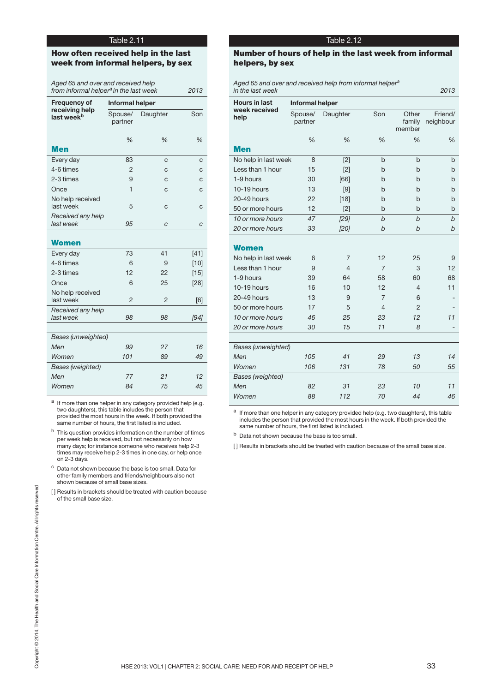## **How often received help in the last week from informal helpers, by sex**

| Aged 65 and over and received help<br>from informal helper <sup>a</sup> in the last week<br>2013 |                    |          |        |  |  |  |  |
|--------------------------------------------------------------------------------------------------|--------------------|----------|--------|--|--|--|--|
| <b>Frequency of</b>                                                                              | Informal helper    |          |        |  |  |  |  |
| receiving help<br>last week <sup>b</sup>                                                         | Spouse/<br>partner | Daughter | Son    |  |  |  |  |
|                                                                                                  | %                  | %        | %      |  |  |  |  |
| <b>Men</b>                                                                                       |                    |          |        |  |  |  |  |
| Every day                                                                                        | 83                 | C        | C      |  |  |  |  |
| 4-6 times                                                                                        | $\overline{2}$     | C        | C      |  |  |  |  |
| 2-3 times                                                                                        | 9                  | C        | C      |  |  |  |  |
| Once                                                                                             | $\mathbf{1}$       | C        | C      |  |  |  |  |
| No help received<br>last week                                                                    | 5                  | C        | C      |  |  |  |  |
| Received any help<br>last week                                                                   | 95                 | C        | C      |  |  |  |  |
| <b>Women</b>                                                                                     |                    |          |        |  |  |  |  |
| Every day                                                                                        | 73                 | 41       | $[41]$ |  |  |  |  |
| 4-6 times                                                                                        | 6                  | 9        | [10]   |  |  |  |  |
| 2-3 times                                                                                        | 12                 | 22       | [15]   |  |  |  |  |
| Once                                                                                             | 6                  | 25       | [28]   |  |  |  |  |
| No help received<br>last week                                                                    | $\overline{2}$     | 2        | [6]    |  |  |  |  |
| Received any help<br>last week                                                                   | 98                 | 98       | [94]   |  |  |  |  |
|                                                                                                  |                    |          |        |  |  |  |  |
| <b>Bases (unweighted)</b>                                                                        |                    |          |        |  |  |  |  |
| Men                                                                                              | 99                 | 27       | 16     |  |  |  |  |
| Women                                                                                            | 101                | 89       | 49     |  |  |  |  |
| Bases (weighted)                                                                                 |                    |          |        |  |  |  |  |
| Men                                                                                              | 77                 | 21       | 12     |  |  |  |  |
| Women                                                                                            | 84                 | 75       | 45     |  |  |  |  |

a If more than one helper in any category provided help (e.g. two daughters), this table includes the person that provided the most hours in the week. If both provided the same number of hours, the first listed is included.

- b This question provides information on the number of times per week help is received, but not necessarily on how many days; for instance someone who receives help 2-3 times may receive help 2-3 times in one day, or help once on 2-3 days.
- <sup>c</sup> Data not shown because the base is too small. Data for other family members and friends/neighbours also not shown because of small base sizes.
- [] Results in brackets should be treated with caution because<br>of the small base size.<br>and Social<br>and Social Care Information Care Information Centre.<br>and Social Care Information Centre. All Care Information CARE: NEED FOR [] Results in brackets should be treated with caution because of the small base size.

## Table 2.12

## **Number of hours of help in the last week from informal helpers, by sex**

*Aged 65 and over and received help from informal helper a in the last week 2013*

| <b>Hours in last</b>      | <b>Informal helper</b> |                |                |                           |                      |  |  |  |  |
|---------------------------|------------------------|----------------|----------------|---------------------------|----------------------|--|--|--|--|
| week received<br>help     | Spouse/<br>partner     | Daughter       | Son            | Other<br>family<br>member | Friend/<br>neighbour |  |  |  |  |
|                           | %                      | %              | %              | %                         | %                    |  |  |  |  |
| <b>Men</b>                |                        |                |                |                           |                      |  |  |  |  |
| No help in last week      | 8                      | $[2]$          | b              | b                         | b                    |  |  |  |  |
| Less than 1 hour          | 15                     | $[2]$          | b              | b                         | b                    |  |  |  |  |
| 1-9 hours                 | 30                     | [66]           | b              | b                         | b                    |  |  |  |  |
| 10-19 hours               | 13                     | [9]            | b              | h                         | b                    |  |  |  |  |
| 20-49 hours               | 22                     | [18]           | b              | b                         | b                    |  |  |  |  |
| 50 or more hours          | 12                     | $[2]$          | b              | b                         | b                    |  |  |  |  |
| 10 or more hours          | 47                     | [29]           | b              | $\mathbf b$               | $\mathbf b$          |  |  |  |  |
| 20 or more hours          | 33                     | [20]           | b              | $\mathfrak b$             | b                    |  |  |  |  |
| <b>Women</b>              |                        |                |                |                           |                      |  |  |  |  |
| No help in last week      | 6                      | $\overline{7}$ | 12             | 25                        | 9                    |  |  |  |  |
| Less than 1 hour          | 9                      | 4              | $\overline{7}$ | 3                         | 12                   |  |  |  |  |
| 1-9 hours                 | 39                     | 64             | 58             | 60                        | 68                   |  |  |  |  |
| 10-19 hours               | 16                     | 10             | 12             | 4                         | 11                   |  |  |  |  |
| 20-49 hours               | 13                     | 9              | $\overline{7}$ | 6                         |                      |  |  |  |  |
| 50 or more hours          | 17                     | 5              | $\overline{4}$ | $\mathfrak{p}$            |                      |  |  |  |  |
| 10 or more hours          | 46                     | 25             | 23             | 12                        | 11                   |  |  |  |  |
| 20 or more hours          | 30                     | 15             | 11             | 8                         |                      |  |  |  |  |
|                           |                        |                |                |                           |                      |  |  |  |  |
| <b>Bases (unweighted)</b> |                        |                |                |                           |                      |  |  |  |  |
| Men                       | 105                    | 41             | 29             | 13                        | 14                   |  |  |  |  |
| Women                     | 106                    | 131            | 78             | 50                        | 55                   |  |  |  |  |
| <b>Bases</b> (weighted)   |                        |                |                |                           |                      |  |  |  |  |
| Men                       | 82                     | 31             | 23             | 10                        | 11                   |  |  |  |  |
| Women                     | 88                     | 112            | 70             | 44                        | 46                   |  |  |  |  |

<sup>a</sup> If more than one helper in any category provided help (e.g. two daughters), this table includes the person that provided the most hours in the week. If both provided the same number of hours, the first listed is included.

<sup>b</sup> Data not shown because the base is too small.

[] Results in brackets should be treated with caution because of the small base size.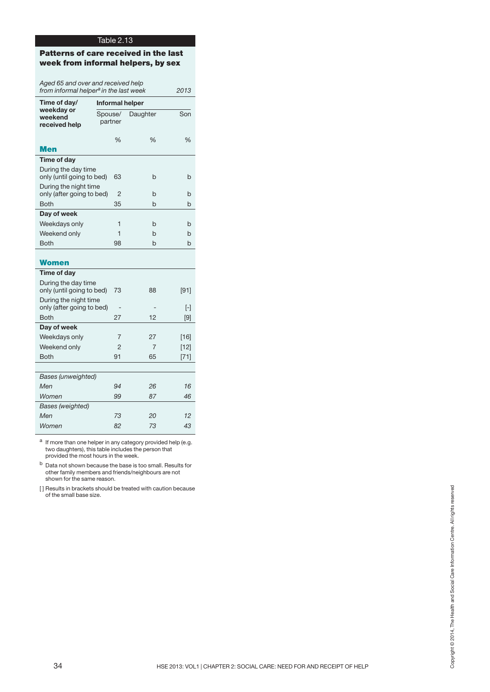## **Patterns of care received in the last week from informal helpers, by sex**

| Aged 65 and over and received help<br>from informal helper <sup>a</sup> in the last week<br>2013 |                        |          |        |  |  |  |  |
|--------------------------------------------------------------------------------------------------|------------------------|----------|--------|--|--|--|--|
| Time of day/                                                                                     | <b>Informal helper</b> |          |        |  |  |  |  |
| weekday or<br>weekend<br>received help                                                           | Spouse/<br>partner     | Daughter | Son    |  |  |  |  |
| Men                                                                                              | $\frac{0}{0}$          | $\%$     | $\%$   |  |  |  |  |
| Time of day                                                                                      |                        |          |        |  |  |  |  |
| During the day time<br>only (until going to bed)                                                 | 63                     | b        | b      |  |  |  |  |
| During the night time<br>only (after going to bed)                                               | 2                      | h        | h      |  |  |  |  |
| <b>Both</b>                                                                                      | 35                     | h        | h      |  |  |  |  |
| Day of week                                                                                      |                        |          |        |  |  |  |  |
| Weekdays only                                                                                    | 1                      | h        | h      |  |  |  |  |
| Weekend only                                                                                     | 1                      | h        | b      |  |  |  |  |
| <b>Both</b>                                                                                      | 98                     | h        | h      |  |  |  |  |
| Women                                                                                            |                        |          |        |  |  |  |  |
| Time of day                                                                                      |                        |          |        |  |  |  |  |
| During the day time<br>only (until going to bed)                                                 | 73                     | 88       | $[91]$ |  |  |  |  |
| During the night time<br>only (after going to bed)                                               |                        |          | ŀ1     |  |  |  |  |
| <b>Both</b>                                                                                      | 27                     | 12       | [9]    |  |  |  |  |
| Day of week                                                                                      |                        |          |        |  |  |  |  |
| Weekdays only                                                                                    | 7                      | 27       | $[16]$ |  |  |  |  |
| Weekend only                                                                                     | 2                      | 7        | $[12]$ |  |  |  |  |
| <b>Both</b>                                                                                      | 91                     | 65       | $[71]$ |  |  |  |  |
|                                                                                                  |                        |          |        |  |  |  |  |
| Bases (unweighted)                                                                               |                        |          |        |  |  |  |  |
| Men                                                                                              | 94                     | 26       | 16     |  |  |  |  |
| Women                                                                                            | 99                     | 87       | 46     |  |  |  |  |
| Bases (weighted)                                                                                 |                        |          |        |  |  |  |  |
| Men                                                                                              | 73                     | 20       | 12     |  |  |  |  |
| Women                                                                                            | 82                     | 73       | 43     |  |  |  |  |

<sup>a</sup> If more than one helper in any category provided help (e.g. two daughters), this table includes the person that provided the most hours in the week.

<sup>b</sup> Data not shown because the base is too small. Results for other family members and friends/neighbours are not shown for the same reason.

auts in brackets should be treated with caution because<br>An email base size.<br>The mail base size.<br>The Health Copyright Care Information Care Information Copyright © 2014, The Health and Social Care Information Centre.<br>The [] Results in brackets should be treated with caution because of the small base size.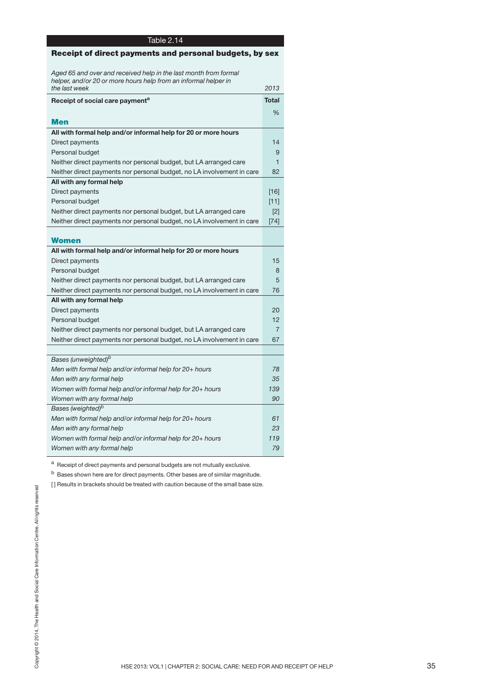| Table 2.14                                                             |                |
|------------------------------------------------------------------------|----------------|
| Receipt of direct payments and personal budgets, by sex                |                |
|                                                                        |                |
| Aged 65 and over and received help in the last month from formal       |                |
| helper, and/or 20 or more hours help from an informal helper in        |                |
| the last week                                                          | 2013           |
| Receipt of social care payment <sup>a</sup>                            | <b>Total</b>   |
|                                                                        | $\%$           |
| Men                                                                    |                |
| All with formal help and/or informal help for 20 or more hours         |                |
| Direct payments                                                        | 14             |
| Personal budget                                                        | 9              |
| Neither direct payments nor personal budget, but LA arranged care      | 1              |
| Neither direct payments nor personal budget, no LA involvement in care | 82             |
| All with any formal help                                               |                |
| Direct payments                                                        | [16]           |
| Personal budget                                                        | $[11]$         |
| Neither direct payments nor personal budget, but LA arranged care      | [2]            |
| Neither direct payments nor personal budget, no LA involvement in care | $[74]$         |
|                                                                        |                |
| Women                                                                  |                |
| All with formal help and/or informal help for 20 or more hours         |                |
| Direct payments                                                        | 15             |
| Personal budget                                                        | 8              |
| Neither direct payments nor personal budget, but LA arranged care      | 5              |
| Neither direct payments nor personal budget, no LA involvement in care | 76             |
| All with any formal help                                               |                |
| Direct payments                                                        | 20             |
| Personal budget                                                        | 12             |
| Neither direct payments nor personal budget, but LA arranged care      | $\overline{7}$ |
| Neither direct payments nor personal budget, no LA involvement in care | 67             |
|                                                                        |                |
| Bases (unweighted) <sup>b</sup>                                        |                |
| Men with formal help and/or informal help for 20+ hours                | 78             |
| Men with any formal help                                               | 35             |
| Women with formal help and/or informal help for 20+ hours              | 139            |
| Women with any formal help                                             | 90             |
| Bases (weighted) <sup>b</sup>                                          |                |
| Men with formal help and/or informal help for 20+ hours                | 61             |
| Men with any formal help                                               | 23             |
| Women with formal help and/or informal help for 20+ hours              | 119            |
| Women with any formal help                                             | 79             |

a Receipt of direct payments and personal budgets are not mutually exclusive.

 $<sup>b</sup>$  Bases shown here are for direct payments. Other bases are of similar magnitude.</sup>

[] Results in brackets should be treated with caution because of the small base size.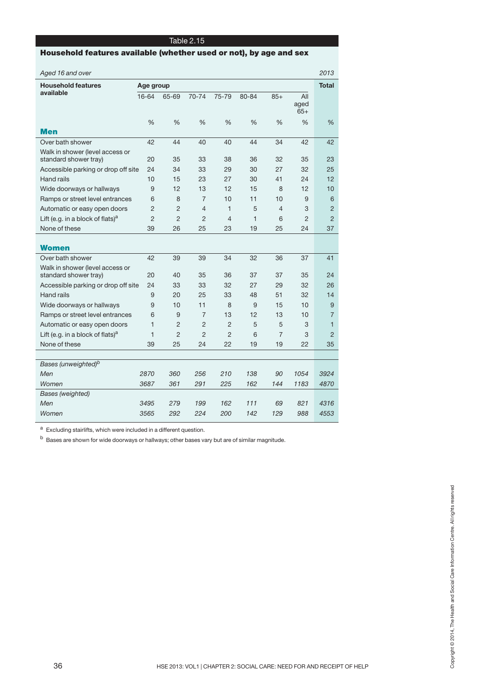## **Household features available (whether used or not), by age and sex**

| Aged 16 and over                             |                |                |                |                |              |                |                      | 2013           |
|----------------------------------------------|----------------|----------------|----------------|----------------|--------------|----------------|----------------------|----------------|
| <b>Household features</b>                    | Age group      |                |                |                |              |                |                      |                |
| available                                    | 16-64          | 65-69          | 70-74          | 75-79          | 80-84        | $85+$          | All<br>aged<br>$65+$ |                |
|                                              | %              | $\frac{0}{0}$  | %              | %              | %            | %              | $\frac{0}{0}$        | %              |
| <b>Men</b>                                   |                |                |                |                |              |                |                      |                |
| Over bath shower                             | 42             | 44             | 40             | 40             | 44           | 34             | 42                   | 42             |
| Walk in shower (level access or              |                |                |                |                |              |                |                      |                |
| standard shower tray)                        | 20             | 35             | 33             | 38             | 36           | 32             | 35                   | 23             |
| Accessible parking or drop off site          | 24             | 34             | 33             | 29             | 30           | 27             | 32                   | 25             |
| Hand rails                                   | 10             | 15             | 23             | 27             | 30           | 41             | 24                   | 12             |
| Wide doorways or hallways                    | 9              | 12             | 13             | 12             | 15           | 8              | 12                   | 10             |
| Ramps or street level entrances              | 6              | 8              | $\overline{7}$ | 10             | 11           | 10             | 9                    | 6              |
| Automatic or easy open doors                 | $\overline{2}$ | $\overline{2}$ | $\overline{4}$ | $\mathbf{1}$   | 5            | 4              | 3                    | $\overline{2}$ |
| Lift (e.g. in a block of flats) <sup>a</sup> | $\overline{2}$ | $\overline{2}$ | $\overline{2}$ | 4              | $\mathbf{1}$ | 6              | $\overline{2}$       | $\overline{2}$ |
| None of these                                | 39             | 26             | 25             | 23             | 19           | 25             | 24                   | 37             |
|                                              |                |                |                |                |              |                |                      |                |
| <b>Women</b>                                 |                |                |                |                |              |                |                      |                |
| Over bath shower                             | 42             | 39             | 39             | 34             | 32           | 36             | 37                   | 41             |
| Walk in shower (level access or              |                |                |                |                |              |                |                      |                |
| standard shower tray)                        | 20             | 40             | 35             | 36             | 37           | 37             | 35                   | 24             |
| Accessible parking or drop off site          | 24             | 33             | 33             | 32             | 27           | 29             | 32                   | 26             |
| Hand rails                                   | 9              | 20             | 25             | 33             | 48           | 51             | 32                   | 14             |
| Wide doorways or hallways                    | 9              | 10             | 11             | 8              | 9            | 15             | 10                   | 9              |
| Ramps or street level entrances              | 6              | 9              | $\overline{7}$ | 13             | 12           | 13             | 10                   | $\overline{7}$ |
| Automatic or easy open doors                 | 1              | $\overline{2}$ | $\overline{2}$ | 2              | 5            | 5              | 3                    | $\mathbf{1}$   |
| Lift (e.g. in a block of flats) <sup>a</sup> | $\mathbf{1}$   | $\overline{2}$ | $\overline{2}$ | $\overline{2}$ | 6            | $\overline{7}$ | 3                    | $\overline{2}$ |
| None of these                                | 39             | 25             | 24             | 22             | 19           | 19             | 22                   | 35             |
|                                              |                |                |                |                |              |                |                      |                |
| Bases (unweighted) <sup>b</sup>              |                |                |                |                |              |                |                      |                |
| Men                                          | 2870           | 360            | 256            | 210            | 138          | 90             | 1054                 | 3924           |
| Women                                        | 3687           | 361            | 291            | 225            | 162          | 144            | 1183                 | 4870           |
| <b>Bases</b> (weighted)                      |                |                |                |                |              |                |                      |                |
| Men                                          | 3495           | 279            | 199            | 162            | 111          | 69             | 821                  | 4316           |
| Women                                        | 3565           | 292            | 224            | 200            | 142          | 129            | 988                  | 4553           |

a Excluding stairlifts, which were included in a different question.

b Bases are shown for wide doorways or hallways; other bases vary but are of similar magnitude.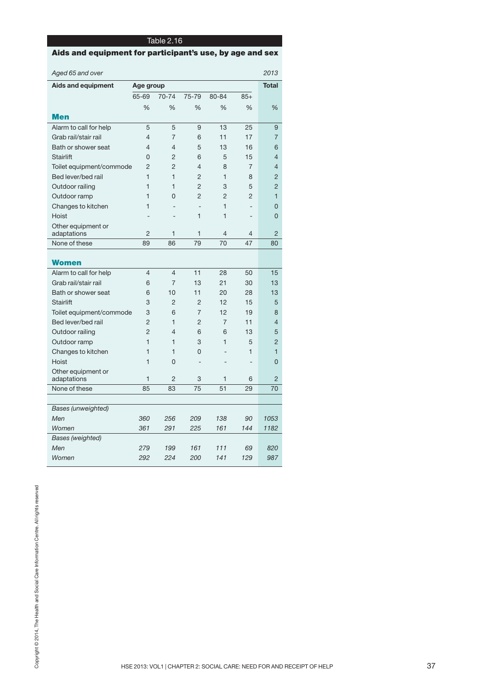**Aids and equipment for participant's use, by age and sex**

| Aged 65 and over                  |                |                |                   |                |                          | 2013           |
|-----------------------------------|----------------|----------------|-------------------|----------------|--------------------------|----------------|
| Aids and equipment                |                | Age group      |                   |                |                          |                |
|                                   | 65-69          | 70-74          | 75-79             | 80-84          | $85+$                    |                |
|                                   | %              | %              | $\frac{0}{0}$     | $\frac{0}{0}$  | $\frac{0}{0}$            | %              |
| <b>Men</b>                        |                |                |                   |                |                          |                |
| Alarm to call for help            | 5              | 5              | 9                 | 13             | 25                       | 9              |
| Grab rail/stair rail              | 4              | 7              | 6                 | 11             | 17                       | 7              |
| Bath or shower seat               | 4              | 4              | 5                 | 13             | 16                       | 6              |
| <b>Stairlift</b>                  | 0              | 2              | 6                 | 5              | 15                       | $\overline{4}$ |
| Toilet equipment/commode          | $\overline{2}$ | $\overline{2}$ | $\overline{4}$    | 8              | $\overline{7}$           | 4              |
| Bed lever/bed rail                | $\mathbf{1}$   | $\mathbf{1}$   | $\overline{2}$    | $\mathbf{1}$   | 8                        | $\overline{2}$ |
| Outdoor railing                   | $\mathbf{1}$   | $\mathbf{1}$   | $\overline{2}$    | 3              | 5                        | $\overline{2}$ |
| Outdoor ramp                      | $\mathbf{1}$   | 0              | $\overline{2}$    | $\overline{2}$ | $\overline{2}$           | $\mathbf{1}$   |
| Changes to kitchen                | $\mathbf{1}$   | $\overline{a}$ | $\qquad \qquad -$ | $\mathbf{1}$   | $\overline{\phantom{0}}$ | 0              |
| Hoist                             |                |                | 1                 | 1              | ÷,                       | 0              |
| Other equipment or                |                |                |                   |                |                          |                |
| adaptations                       | 2              | $\mathbf{1}$   | $\mathbf 1$       | $\overline{4}$ | 4                        | $\overline{2}$ |
| None of these                     | 89             | 86             | 79                | 70             | 47                       | 80             |
| <b>Women</b>                      |                |                |                   |                |                          |                |
| Alarm to call for help            | $\overline{4}$ | $\overline{4}$ | 11                | 28             | 50                       | 15             |
| Grab rail/stair rail              | 6              | $\overline{7}$ | 13                | 21             | 30                       | 13             |
| Bath or shower seat               | 6              | 10             | 11                | 20             | 28                       | 13             |
| <b>Stairlift</b>                  | 3              | $\overline{2}$ | $\overline{2}$    | 12             | 15                       | 5              |
| Toilet equipment/commode          | 3              | 6              | 7                 | 12             | 19                       | 8              |
| Bed lever/bed rail                | 2              | $\mathbf{1}$   | 2                 | 7              | 11                       | 4              |
| Outdoor railing                   | $\overline{2}$ | $\overline{4}$ | 6                 | 6              | 13                       | 5              |
| Outdoor ramp                      | $\mathbf{1}$   | 1              | 3                 | 1              | 5                        | $\overline{2}$ |
| Changes to kitchen                | $\mathbf{1}$   | $\mathbf{1}$   | 0                 |                | 1                        | $\mathbf{1}$   |
| Hoist                             | $\mathbf{1}$   | $\Omega$       | L,                |                | $\overline{a}$           | $\overline{0}$ |
| Other equipment or<br>adaptations | $\mathbf{1}$   | $\overline{2}$ | 3                 | 1              | 6                        | $\overline{2}$ |
| None of these                     | 85             | 83             | 75                | 51             | 29                       | 70             |
|                                   |                |                |                   |                |                          |                |
| <b>Bases (unweighted)</b>         |                |                |                   |                |                          |                |
| Men                               | 360            | 256            | 209               | 138            | 90                       | 1053           |
| Women                             | 361            | 291            | 225               | 161            | 144                      | 1182           |
| Bases (weighted)                  |                |                |                   |                |                          |                |
| Men                               | 279            | 199            | 161               | 111            | 69                       | 820            |
| Women                             | 292            | 224            | 200               | 141            | 129                      | 987            |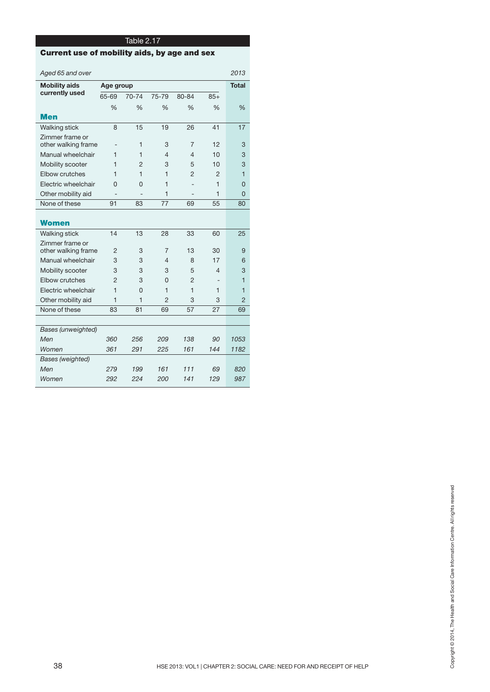## **Current use of mobility aids, by age and sex**

|                      | Aged 65 and over                       |               |               |                |                |                |                |
|----------------------|----------------------------------------|---------------|---------------|----------------|----------------|----------------|----------------|
| <b>Mobility aids</b> |                                        | Age group     | <b>Total</b>  |                |                |                |                |
|                      | currently used                         | 65-69         | 70-74         | 75-79          | 80-84          | $85+$          |                |
|                      |                                        | $\frac{0}{0}$ | $\frac{0}{0}$ | $\frac{0}{0}$  | $\frac{0}{6}$  | $\frac{0}{6}$  | $\frac{9}{6}$  |
|                      | <b>Men</b>                             |               |               |                |                |                |                |
|                      | Walking stick                          | 8             | 15            | 19             | 26             | 41             | 17             |
|                      | Zimmer frame or<br>other walking frame |               | 1             | 3              | $\overline{7}$ | 12             | 3              |
|                      | Manual wheelchair                      | 1             | 1             | 4              | $\overline{4}$ | 10             | 3              |
|                      | Mobility scooter                       | 1             | 2             | 3              | 5              | 10             | 3              |
|                      | Elbow crutches                         | 1             | 1             | 1              | 2              | $\mathcal{P}$  | $\mathbf{1}$   |
|                      | Electric wheelchair                    | 0             | 0             | 1              |                | $\mathbf{1}$   | $\Omega$       |
|                      | Other mobility aid                     |               |               | 1              |                | 1              | $\Omega$       |
|                      | None of these                          | 91            | 83            | 77             | 69             | 55             | 80             |
|                      | <b>Women</b>                           |               |               |                |                |                |                |
|                      | <b>Walking stick</b>                   | 14            | 13            | 28             | 33             | 60             | 25             |
|                      | Zimmer frame or<br>other walking frame | 2             | 3             | 7              | 13             | 30             | 9              |
|                      | Manual wheelchair                      | 3             | 3             | 4              | 8              | 17             | 6              |
|                      | Mobility scooter                       | 3             | 3             | 3              | 5              | $\overline{4}$ | 3              |
|                      | Elbow crutches                         | 2             | 3             | O              | 2              | ۰              | $\mathbf{1}$   |
|                      | Electric wheelchair                    | $\mathbf{1}$  | $\Omega$      | 1              | $\mathbf{1}$   | 1              | 1              |
|                      | Other mobility aid                     | $\mathbf{1}$  | $\mathbf{1}$  | $\overline{2}$ | 3              | 3              | $\overline{2}$ |
|                      | None of these                          | 83            | 81            | 69             | 57             | 27             | 69             |
|                      |                                        |               |               |                |                |                |                |
|                      | <b>Bases (unweighted)</b>              |               |               |                |                |                |                |
|                      | Men                                    | 360           | 256           | 209            | 138            | 90             | 1053           |
|                      | Women                                  | 361           | 291           | 225            | 161            | 144            | 1182           |
|                      | Bases (weighted)                       |               |               |                |                |                |                |
|                      | Men                                    | 279           | 199           | 161            | 111            | 69             | 820            |
|                      | Women                                  | 292           | 224           | 200            | 141            | 129            | 987            |